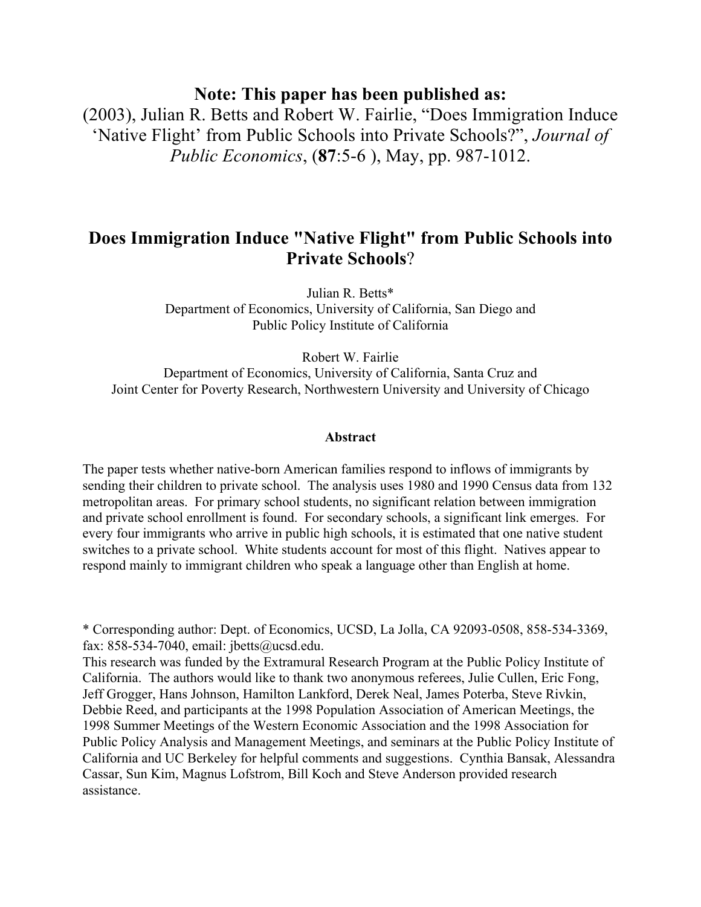**Note: This paper has been published as:**

(2003), Julian R. Betts and Robert W. Fairlie, "Does Immigration Induce 'Native Flight' from Public Schools into Private Schools?", *Journal of Public Economics*, (**87**:5-6 ), May, pp. 987-1012.

# **Does Immigration Induce "Native Flight" from Public Schools into Private Schools**?

Julian R. Betts\* Department of Economics, University of California, San Diego and Public Policy Institute of California

Robert W. Fairlie

Department of Economics, University of California, Santa Cruz and Joint Center for Poverty Research, Northwestern University and University of Chicago

#### **Abstract**

The paper tests whether native-born American families respond to inflows of immigrants by sending their children to private school. The analysis uses 1980 and 1990 Census data from 132 metropolitan areas. For primary school students, no significant relation between immigration and private school enrollment is found. For secondary schools, a significant link emerges. For every four immigrants who arrive in public high schools, it is estimated that one native student switches to a private school. White students account for most of this flight. Natives appear to respond mainly to immigrant children who speak a language other than English at home.

\* Corresponding author: Dept. of Economics, UCSD, La Jolla, CA 92093-0508, 858-534-3369, fax: 858-534-7040, email: jbetts@ucsd.edu.

This research was funded by the Extramural Research Program at the Public Policy Institute of California. The authors would like to thank two anonymous referees, Julie Cullen, Eric Fong, Jeff Grogger, Hans Johnson, Hamilton Lankford, Derek Neal, James Poterba, Steve Rivkin, Debbie Reed, and participants at the 1998 Population Association of American Meetings, the 1998 Summer Meetings of the Western Economic Association and the 1998 Association for Public Policy Analysis and Management Meetings, and seminars at the Public Policy Institute of California and UC Berkeley for helpful comments and suggestions. Cynthia Bansak, Alessandra Cassar, Sun Kim, Magnus Lofstrom, Bill Koch and Steve Anderson provided research assistance.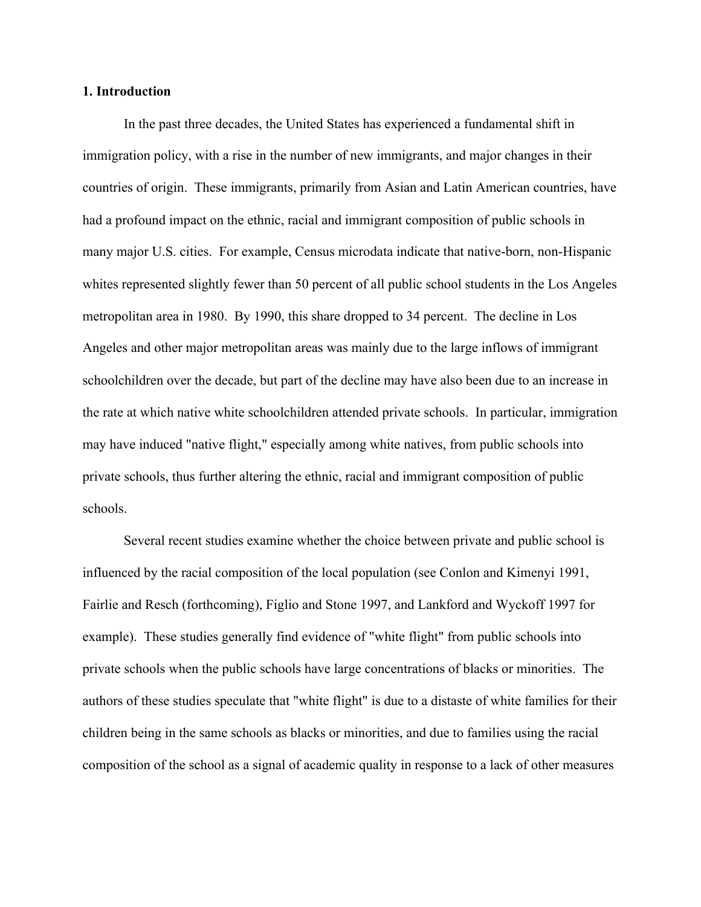#### **1. Introduction**

In the past three decades, the United States has experienced a fundamental shift in immigration policy, with a rise in the number of new immigrants, and major changes in their countries of origin. These immigrants, primarily from Asian and Latin American countries, have had a profound impact on the ethnic, racial and immigrant composition of public schools in many major U.S. cities. For example, Census microdata indicate that native-born, non-Hispanic whites represented slightly fewer than 50 percent of all public school students in the Los Angeles metropolitan area in 1980. By 1990, this share dropped to 34 percent. The decline in Los Angeles and other major metropolitan areas was mainly due to the large inflows of immigrant schoolchildren over the decade, but part of the decline may have also been due to an increase in the rate at which native white schoolchildren attended private schools. In particular, immigration may have induced "native flight," especially among white natives, from public schools into private schools, thus further altering the ethnic, racial and immigrant composition of public schools.

Several recent studies examine whether the choice between private and public school is influenced by the racial composition of the local population (see Conlon and Kimenyi 1991, Fairlie and Resch (forthcoming), Figlio and Stone 1997, and Lankford and Wyckoff 1997 for example). These studies generally find evidence of "white flight" from public schools into private schools when the public schools have large concentrations of blacks or minorities. The authors of these studies speculate that "white flight" is due to a distaste of white families for their children being in the same schools as blacks or minorities, and due to families using the racial composition of the school as a signal of academic quality in response to a lack of other measures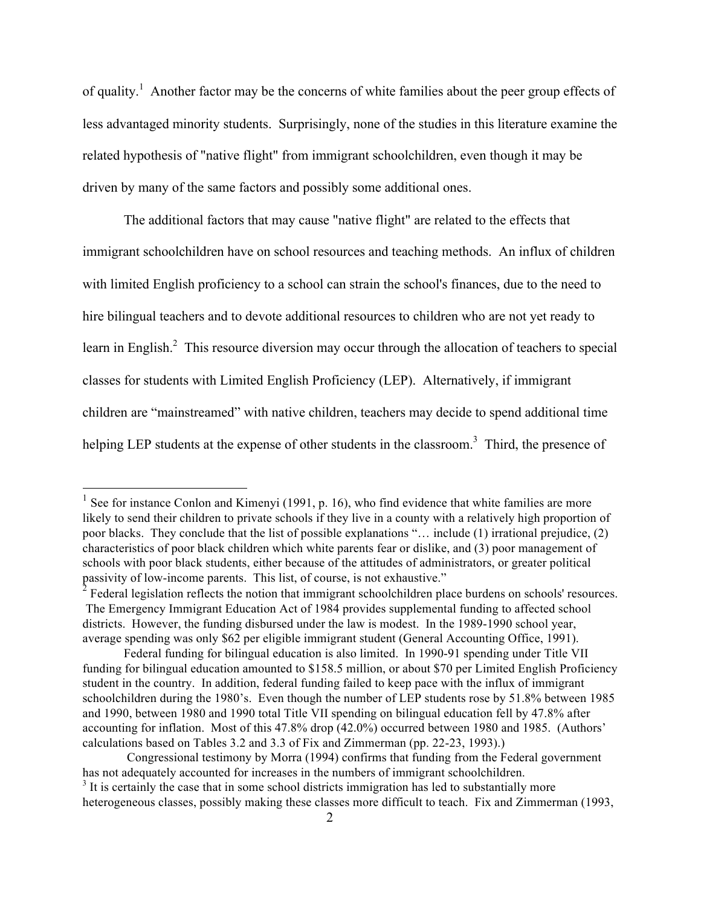of quality.<sup>1</sup> Another factor may be the concerns of white families about the peer group effects of less advantaged minority students. Surprisingly, none of the studies in this literature examine the related hypothesis of "native flight" from immigrant schoolchildren, even though it may be driven by many of the same factors and possibly some additional ones.

The additional factors that may cause "native flight" are related to the effects that immigrant schoolchildren have on school resources and teaching methods. An influx of children with limited English proficiency to a school can strain the school's finances, due to the need to hire bilingual teachers and to devote additional resources to children who are not yet ready to learn in English. $<sup>2</sup>$  This resource diversion may occur through the allocation of teachers to special</sup> classes for students with Limited English Proficiency (LEP). Alternatively, if immigrant children are "mainstreamed" with native children, teachers may decide to spend additional time helping LEP students at the expense of other students in the classroom.<sup>3</sup> Third, the presence of

 $1$  See for instance Conlon and Kimenyi (1991, p. 16), who find evidence that white families are more likely to send their children to private schools if they live in a county with a relatively high proportion of poor blacks. They conclude that the list of possible explanations "… include (1) irrational prejudice, (2) characteristics of poor black children which white parents fear or dislike, and (3) poor management of schools with poor black students, either because of the attitudes of administrators, or greater political passivity of low-income parents. This list, of course, is not exhaustive."

 $2^{2}$  Federal legislation reflects the notion that immigrant schoolchildren place burdens on schools' resources. The Emergency Immigrant Education Act of 1984 provides supplemental funding to affected school districts. However, the funding disbursed under the law is modest. In the 1989-1990 school year, average spending was only \$62 per eligible immigrant student (General Accounting Office, 1991).

Federal funding for bilingual education is also limited. In 1990-91 spending under Title VII funding for bilingual education amounted to \$158.5 million, or about \$70 per Limited English Proficiency student in the country. In addition, federal funding failed to keep pace with the influx of immigrant schoolchildren during the 1980's. Even though the number of LEP students rose by 51.8% between 1985 and 1990, between 1980 and 1990 total Title VII spending on bilingual education fell by 47.8% after accounting for inflation. Most of this 47.8% drop (42.0%) occurred between 1980 and 1985. (Authors' calculations based on Tables 3.2 and 3.3 of Fix and Zimmerman (pp. 22-23, 1993).)

Congressional testimony by Morra (1994) confirms that funding from the Federal government has not adequately accounted for increases in the numbers of immigrant schoolchildren.  $3$  It is certainly the case that in some school districts immigration has led to substantially more heterogeneous classes, possibly making these classes more difficult to teach. Fix and Zimmerman (1993,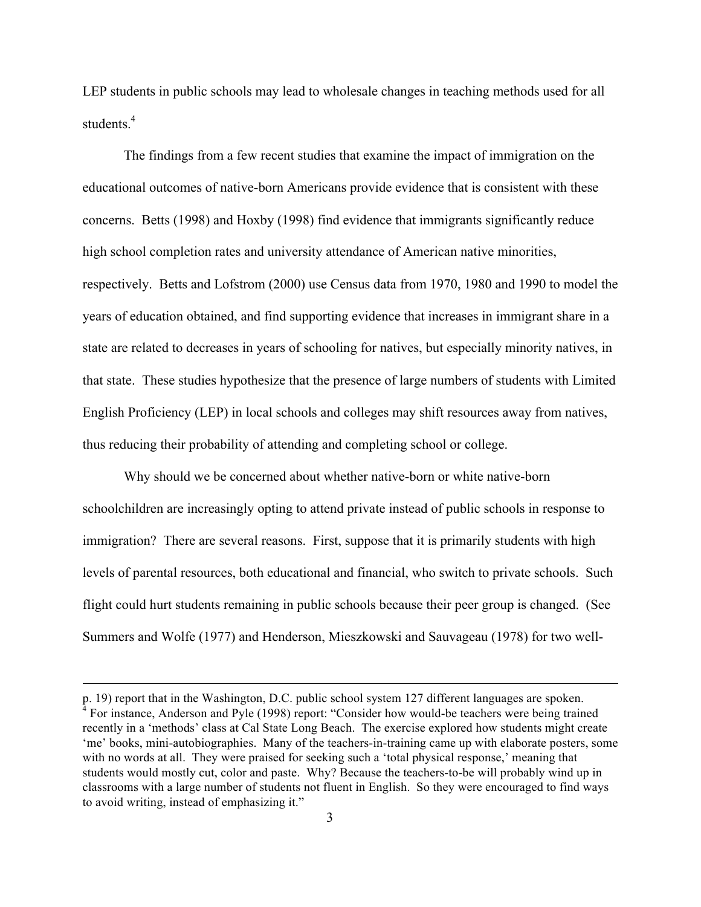LEP students in public schools may lead to wholesale changes in teaching methods used for all students<sup>4</sup>

The findings from a few recent studies that examine the impact of immigration on the educational outcomes of native-born Americans provide evidence that is consistent with these concerns. Betts (1998) and Hoxby (1998) find evidence that immigrants significantly reduce high school completion rates and university attendance of American native minorities, respectively. Betts and Lofstrom (2000) use Census data from 1970, 1980 and 1990 to model the years of education obtained, and find supporting evidence that increases in immigrant share in a state are related to decreases in years of schooling for natives, but especially minority natives, in that state. These studies hypothesize that the presence of large numbers of students with Limited English Proficiency (LEP) in local schools and colleges may shift resources away from natives, thus reducing their probability of attending and completing school or college.

Why should we be concerned about whether native-born or white native-born schoolchildren are increasingly opting to attend private instead of public schools in response to immigration? There are several reasons. First, suppose that it is primarily students with high levels of parental resources, both educational and financial, who switch to private schools. Such flight could hurt students remaining in public schools because their peer group is changed. (See Summers and Wolfe (1977) and Henderson, Mieszkowski and Sauvageau (1978) for two well-

 $\overline{a}$ 

p. 19) report that in the Washington, D.C. public school system 127 different languages are spoken. <sup>4</sup> For instance, Anderson and Pyle (1998) report: "Consider how would-be teachers were being trained recently in a 'methods' class at Cal State Long Beach. The exercise explored how students might create 'me' books, mini-autobiographies. Many of the teachers-in-training came up with elaborate posters, some with no words at all. They were praised for seeking such a 'total physical response,' meaning that students would mostly cut, color and paste. Why? Because the teachers-to-be will probably wind up in classrooms with a large number of students not fluent in English. So they were encouraged to find ways to avoid writing, instead of emphasizing it."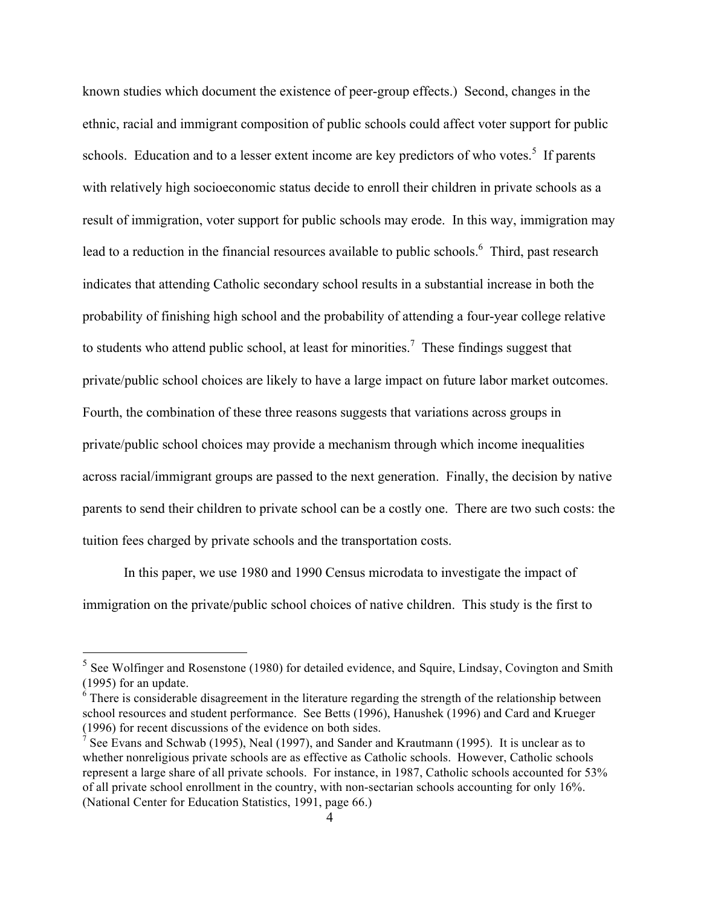known studies which document the existence of peer-group effects.) Second, changes in the ethnic, racial and immigrant composition of public schools could affect voter support for public schools. Education and to a lesser extent income are key predictors of who votes.<sup>5</sup> If parents with relatively high socioeconomic status decide to enroll their children in private schools as a result of immigration, voter support for public schools may erode. In this way, immigration may lead to a reduction in the financial resources available to public schools.<sup>6</sup> Third, past research indicates that attending Catholic secondary school results in a substantial increase in both the probability of finishing high school and the probability of attending a four-year college relative to students who attend public school, at least for minorities.<sup>7</sup> These findings suggest that private/public school choices are likely to have a large impact on future labor market outcomes. Fourth, the combination of these three reasons suggests that variations across groups in private/public school choices may provide a mechanism through which income inequalities across racial/immigrant groups are passed to the next generation. Finally, the decision by native parents to send their children to private school can be a costly one. There are two such costs: the tuition fees charged by private schools and the transportation costs.

In this paper, we use 1980 and 1990 Census microdata to investigate the impact of immigration on the private/public school choices of native children. This study is the first to

<sup>&</sup>lt;sup>5</sup> See Wolfinger and Rosenstone (1980) for detailed evidence, and Squire, Lindsay, Covington and Smith (1995) for an update.

 $6$  There is considerable disagreement in the literature regarding the strength of the relationship between school resources and student performance. See Betts (1996), Hanushek (1996) and Card and Krueger (1996) for recent discussions of the evidence on both sides.

<sup>&</sup>lt;sup>7</sup> See Evans and Schwab (1995), Neal (1997), and Sander and Krautmann (1995). It is unclear as to whether nonreligious private schools are as effective as Catholic schools. However, Catholic schools represent a large share of all private schools. For instance, in 1987, Catholic schools accounted for 53% of all private school enrollment in the country, with non-sectarian schools accounting for only 16%. (National Center for Education Statistics, 1991, page 66.)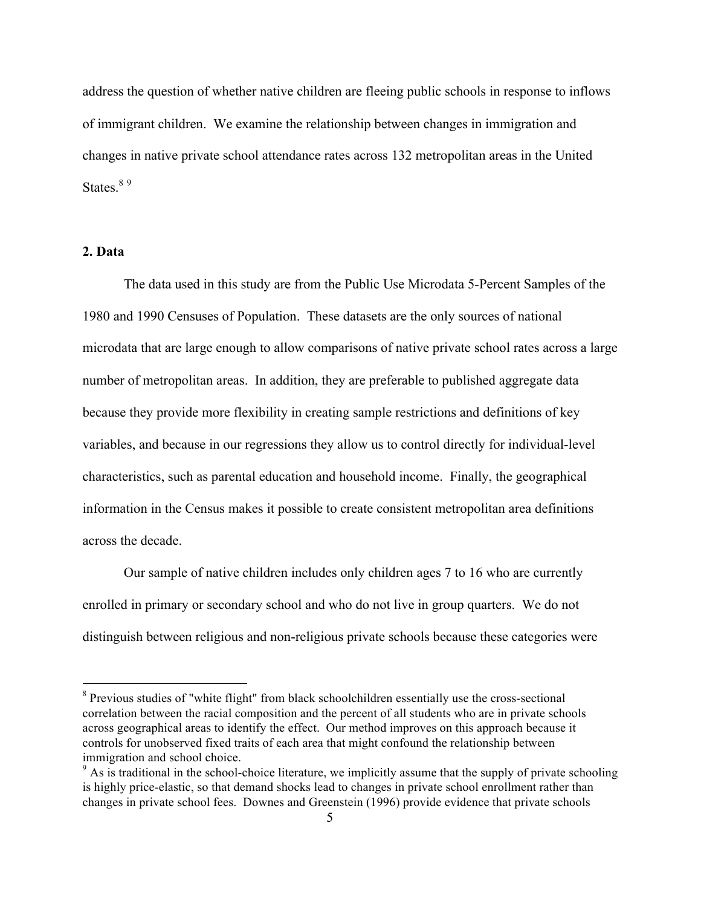address the question of whether native children are fleeing public schools in response to inflows of immigrant children. We examine the relationship between changes in immigration and changes in native private school attendance rates across 132 metropolitan areas in the United States $89$ 

#### **2. Data**

The data used in this study are from the Public Use Microdata 5-Percent Samples of the 1980 and 1990 Censuses of Population. These datasets are the only sources of national microdata that are large enough to allow comparisons of native private school rates across a large number of metropolitan areas. In addition, they are preferable to published aggregate data because they provide more flexibility in creating sample restrictions and definitions of key variables, and because in our regressions they allow us to control directly for individual-level characteristics, such as parental education and household income. Finally, the geographical information in the Census makes it possible to create consistent metropolitan area definitions across the decade.

Our sample of native children includes only children ages 7 to 16 who are currently enrolled in primary or secondary school and who do not live in group quarters. We do not distinguish between religious and non-religious private schools because these categories were

<sup>&</sup>lt;sup>8</sup> Previous studies of "white flight" from black schoolchildren essentially use the cross-sectional correlation between the racial composition and the percent of all students who are in private schools across geographical areas to identify the effect. Our method improves on this approach because it controls for unobserved fixed traits of each area that might confound the relationship between immigration and school choice.

<sup>&</sup>lt;sup>9</sup> As is traditional in the school-choice literature, we implicitly assume that the supply of private schooling is highly price-elastic, so that demand shocks lead to changes in private school enrollment rather than changes in private school fees. Downes and Greenstein (1996) provide evidence that private schools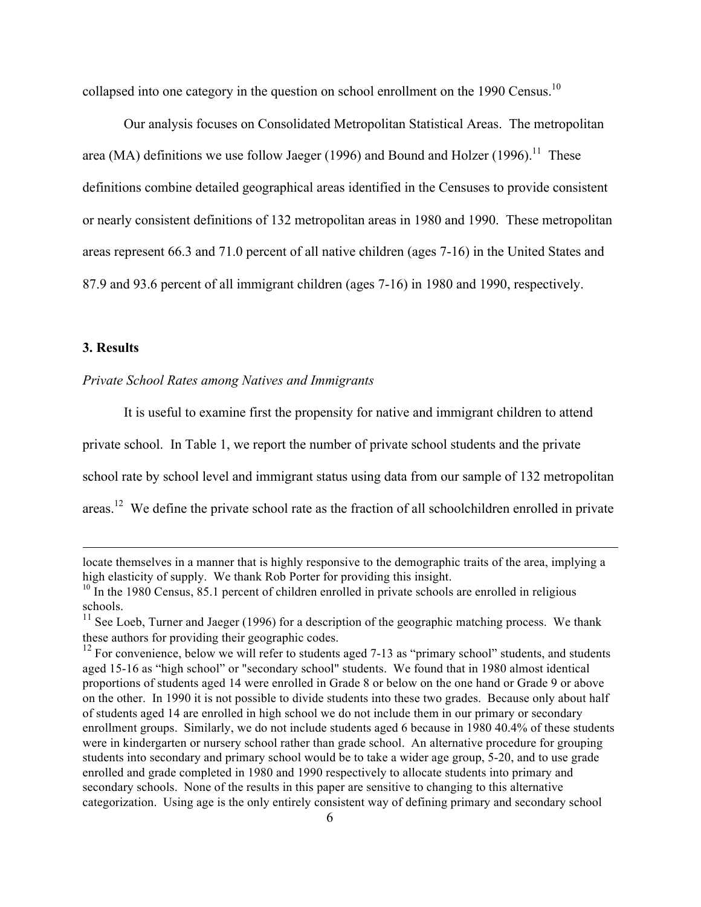collapsed into one category in the question on school enrollment on the 1990 Census.<sup>10</sup>

Our analysis focuses on Consolidated Metropolitan Statistical Areas. The metropolitan area (MA) definitions we use follow Jaeger (1996) and Bound and Holzer (1996).<sup>11</sup> These definitions combine detailed geographical areas identified in the Censuses to provide consistent or nearly consistent definitions of 132 metropolitan areas in 1980 and 1990. These metropolitan areas represent 66.3 and 71.0 percent of all native children (ages 7-16) in the United States and 87.9 and 93.6 percent of all immigrant children (ages 7-16) in 1980 and 1990, respectively.

#### **3. Results**

 $\overline{a}$ 

## *Private School Rates among Natives and Immigrants*

It is useful to examine first the propensity for native and immigrant children to attend

private school. In Table 1, we report the number of private school students and the private

school rate by school level and immigrant status using data from our sample of 132 metropolitan

areas.<sup>12</sup> We define the private school rate as the fraction of all schoolchildren enrolled in private

locate themselves in a manner that is highly responsive to the demographic traits of the area, implying a high elasticity of supply. We thank Rob Porter for providing this insight.

 $10$  In the 1980 Census, 85.1 percent of children enrolled in private schools are enrolled in religious schools.

 $11$  See Loeb, Turner and Jaeger (1996) for a description of the geographic matching process. We thank these authors for providing their geographic codes.

 $12$  For convenience, below we will refer to students aged 7-13 as "primary school" students, and students aged 15-16 as "high school" or "secondary school" students. We found that in 1980 almost identical proportions of students aged 14 were enrolled in Grade 8 or below on the one hand or Grade 9 or above on the other. In 1990 it is not possible to divide students into these two grades. Because only about half of students aged 14 are enrolled in high school we do not include them in our primary or secondary enrollment groups. Similarly, we do not include students aged 6 because in 1980 40.4% of these students were in kindergarten or nursery school rather than grade school. An alternative procedure for grouping students into secondary and primary school would be to take a wider age group, 5-20, and to use grade enrolled and grade completed in 1980 and 1990 respectively to allocate students into primary and secondary schools. None of the results in this paper are sensitive to changing to this alternative categorization. Using age is the only entirely consistent way of defining primary and secondary school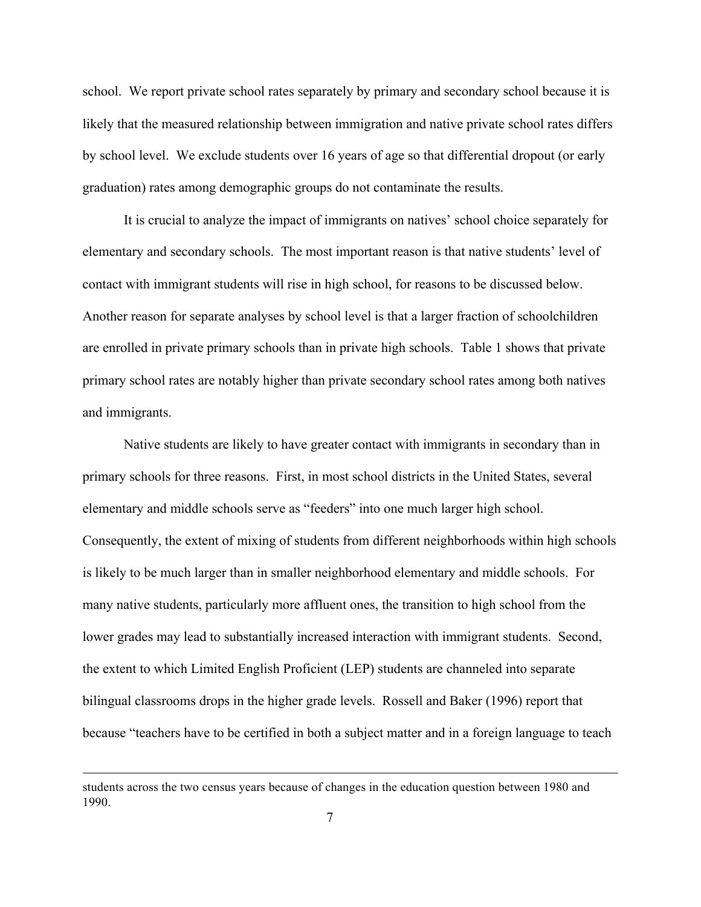school. We report private school rates separately by primary and secondary school because it is likely that the measured relationship between immigration and native private school rates differs by school level. We exclude students over 16 years of age so that differential dropout (or early graduation) rates among demographic groups do not contaminate the results.

It is crucial to analyze the impact of immigrants on natives' school choice separately for elementary and secondary schools. The most important reason is that native students' level of contact with immigrant students will rise in high school, for reasons to be discussed below. Another reason for separate analyses by school level is that a larger fraction of schoolchildren are enrolled in private primary schools than in private high schools. Table 1 shows that private primary school rates are notably higher than private secondary school rates among both natives and immigrants.

Native students are likely to have greater contact with immigrants in secondary than in primary schools for three reasons. First, in most school districts in the United States, several elementary and middle schools serve as "feeders" into one much larger high school. Consequently, the extent of mixing of students from different neighborhoods within high schools is likely to be much larger than in smaller neighborhood elementary and middle schools. For many native students, particularly more affluent ones, the transition to high school from the lower grades may lead to substantially increased interaction with immigrant students. Second, the extent to which Limited English Proficient (LEP) students are channeled into separate bilingual classrooms drops in the higher grade levels. Rossell and Baker (1996) report that because "teachers have to be certified in both a subject matter and in a foreign language to teach

 $\overline{a}$ 

students across the two census years because of changes in the education question between 1980 and 1990.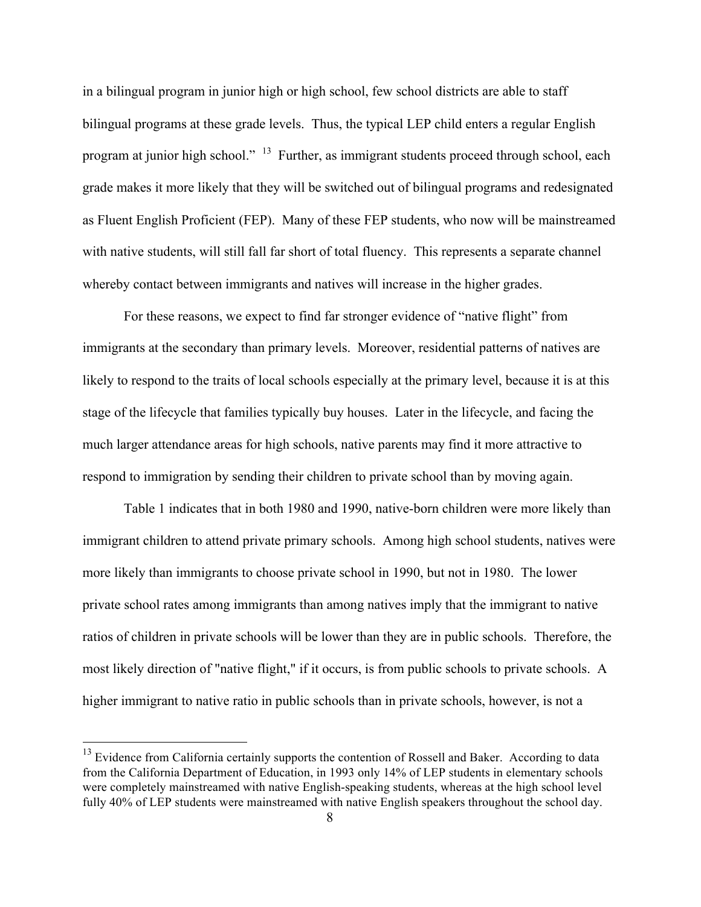in a bilingual program in junior high or high school, few school districts are able to staff bilingual programs at these grade levels. Thus, the typical LEP child enters a regular English program at junior high school."<sup>13</sup> Further, as immigrant students proceed through school, each grade makes it more likely that they will be switched out of bilingual programs and redesignated as Fluent English Proficient (FEP). Many of these FEP students, who now will be mainstreamed with native students, will still fall far short of total fluency. This represents a separate channel whereby contact between immigrants and natives will increase in the higher grades.

For these reasons, we expect to find far stronger evidence of "native flight" from immigrants at the secondary than primary levels. Moreover, residential patterns of natives are likely to respond to the traits of local schools especially at the primary level, because it is at this stage of the lifecycle that families typically buy houses. Later in the lifecycle, and facing the much larger attendance areas for high schools, native parents may find it more attractive to respond to immigration by sending their children to private school than by moving again.

Table 1 indicates that in both 1980 and 1990, native-born children were more likely than immigrant children to attend private primary schools. Among high school students, natives were more likely than immigrants to choose private school in 1990, but not in 1980. The lower private school rates among immigrants than among natives imply that the immigrant to native ratios of children in private schools will be lower than they are in public schools. Therefore, the most likely direction of "native flight," if it occurs, is from public schools to private schools. A higher immigrant to native ratio in public schools than in private schools, however, is not a

<sup>&</sup>lt;sup>13</sup> Evidence from California certainly supports the contention of Rossell and Baker. According to data from the California Department of Education, in 1993 only 14% of LEP students in elementary schools were completely mainstreamed with native English-speaking students, whereas at the high school level fully 40% of LEP students were mainstreamed with native English speakers throughout the school day.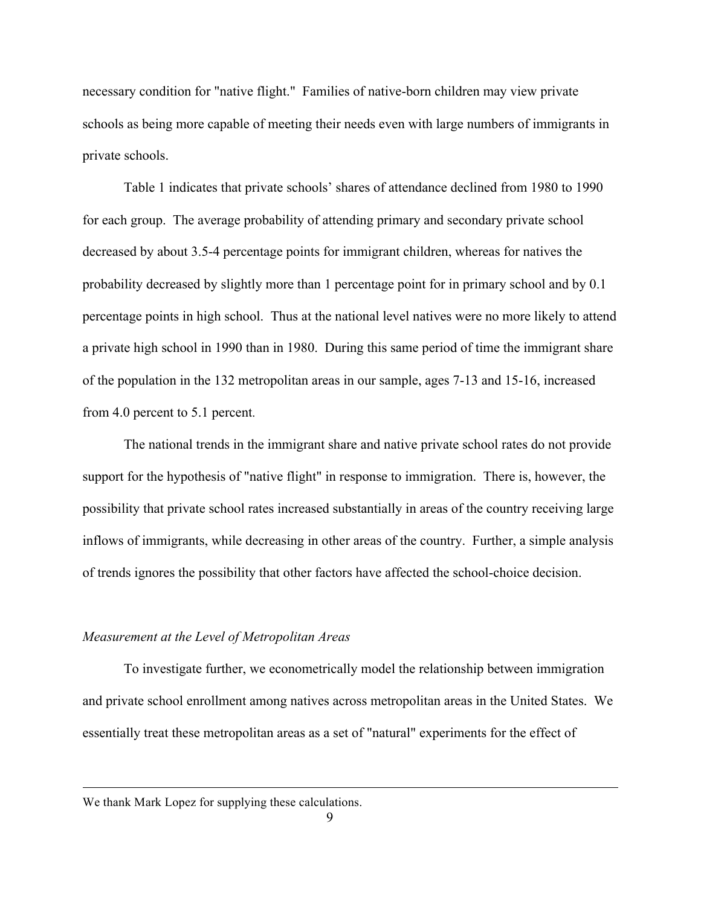necessary condition for "native flight." Families of native-born children may view private schools as being more capable of meeting their needs even with large numbers of immigrants in private schools.

Table 1 indicates that private schools' shares of attendance declined from 1980 to 1990 for each group. The average probability of attending primary and secondary private school decreased by about 3.5-4 percentage points for immigrant children, whereas for natives the probability decreased by slightly more than 1 percentage point for in primary school and by 0.1 percentage points in high school. Thus at the national level natives were no more likely to attend a private high school in 1990 than in 1980. During this same period of time the immigrant share of the population in the 132 metropolitan areas in our sample, ages 7-13 and 15-16, increased from 4.0 percent to 5.1 percent.

The national trends in the immigrant share and native private school rates do not provide support for the hypothesis of "native flight" in response to immigration. There is, however, the possibility that private school rates increased substantially in areas of the country receiving large inflows of immigrants, while decreasing in other areas of the country. Further, a simple analysis of trends ignores the possibility that other factors have affected the school-choice decision.

#### *Measurement at the Level of Metropolitan Areas*

To investigate further, we econometrically model the relationship between immigration and private school enrollment among natives across metropolitan areas in the United States. We essentially treat these metropolitan areas as a set of "natural" experiments for the effect of

 $\overline{a}$ 

We thank Mark Lopez for supplying these calculations.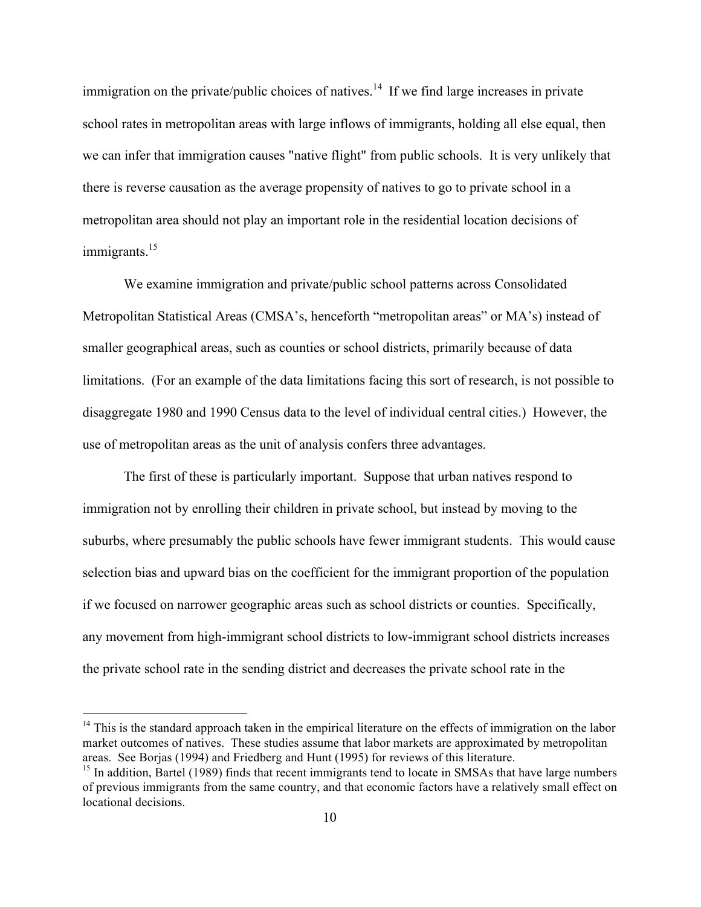immigration on the private/public choices of natives.<sup>14</sup> If we find large increases in private school rates in metropolitan areas with large inflows of immigrants, holding all else equal, then we can infer that immigration causes "native flight" from public schools. It is very unlikely that there is reverse causation as the average propensity of natives to go to private school in a metropolitan area should not play an important role in the residential location decisions of immigrants.<sup>15</sup>

We examine immigration and private/public school patterns across Consolidated Metropolitan Statistical Areas (CMSA's, henceforth "metropolitan areas" or MA's) instead of smaller geographical areas, such as counties or school districts, primarily because of data limitations. (For an example of the data limitations facing this sort of research, is not possible to disaggregate 1980 and 1990 Census data to the level of individual central cities.) However, the use of metropolitan areas as the unit of analysis confers three advantages.

The first of these is particularly important. Suppose that urban natives respond to immigration not by enrolling their children in private school, but instead by moving to the suburbs, where presumably the public schools have fewer immigrant students. This would cause selection bias and upward bias on the coefficient for the immigrant proportion of the population if we focused on narrower geographic areas such as school districts or counties. Specifically, any movement from high-immigrant school districts to low-immigrant school districts increases the private school rate in the sending district and decreases the private school rate in the

 $14$  This is the standard approach taken in the empirical literature on the effects of immigration on the labor market outcomes of natives. These studies assume that labor markets are approximated by metropolitan areas. See Borjas (1994) and Friedberg and Hunt (1995) for reviews of this literature.

<sup>&</sup>lt;sup>15</sup> In addition, Bartel (1989) finds that recent immigrants tend to locate in SMSAs that have large numbers of previous immigrants from the same country, and that economic factors have a relatively small effect on locational decisions.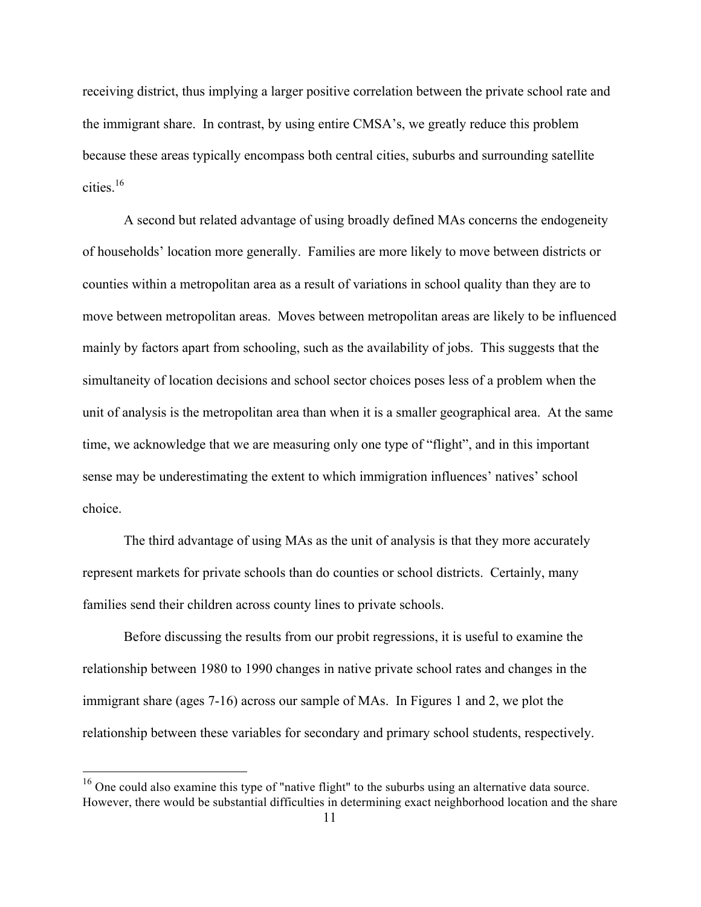receiving district, thus implying a larger positive correlation between the private school rate and the immigrant share. In contrast, by using entire CMSA's, we greatly reduce this problem because these areas typically encompass both central cities, suburbs and surrounding satellite cities<sup>16</sup>

A second but related advantage of using broadly defined MAs concerns the endogeneity of households' location more generally. Families are more likely to move between districts or counties within a metropolitan area as a result of variations in school quality than they are to move between metropolitan areas. Moves between metropolitan areas are likely to be influenced mainly by factors apart from schooling, such as the availability of jobs. This suggests that the simultaneity of location decisions and school sector choices poses less of a problem when the unit of analysis is the metropolitan area than when it is a smaller geographical area. At the same time, we acknowledge that we are measuring only one type of "flight", and in this important sense may be underestimating the extent to which immigration influences' natives' school choice.

The third advantage of using MAs as the unit of analysis is that they more accurately represent markets for private schools than do counties or school districts. Certainly, many families send their children across county lines to private schools.

Before discussing the results from our probit regressions, it is useful to examine the relationship between 1980 to 1990 changes in native private school rates and changes in the immigrant share (ages 7-16) across our sample of MAs. In Figures 1 and 2, we plot the relationship between these variables for secondary and primary school students, respectively.

<sup>&</sup>lt;sup>16</sup> One could also examine this type of "native flight" to the suburbs using an alternative data source. However, there would be substantial difficulties in determining exact neighborhood location and the share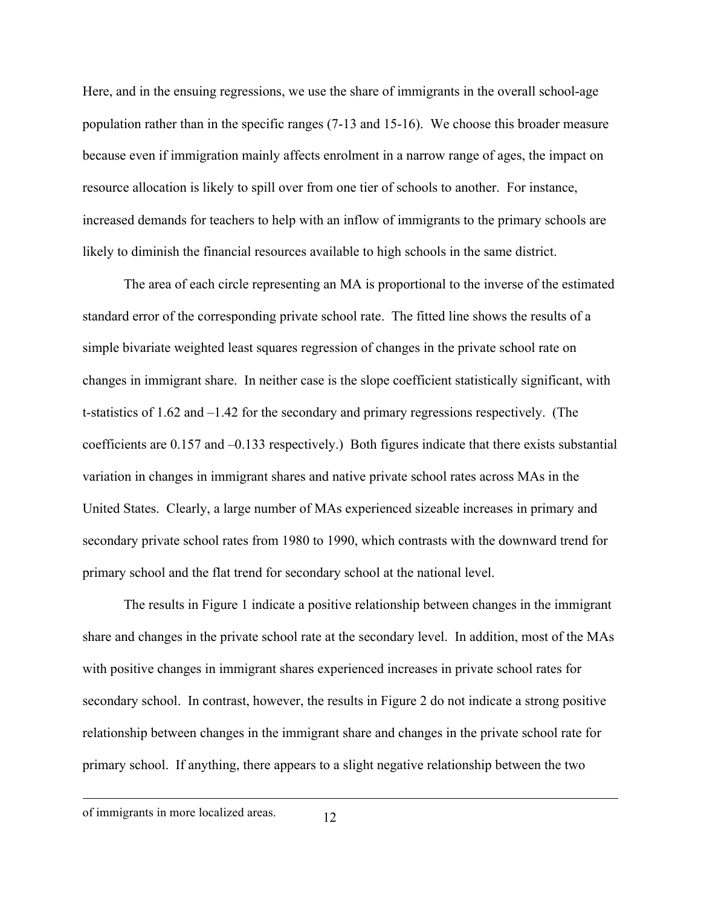Here, and in the ensuing regressions, we use the share of immigrants in the overall school-age population rather than in the specific ranges (7-13 and 15-16). We choose this broader measure because even if immigration mainly affects enrolment in a narrow range of ages, the impact on resource allocation is likely to spill over from one tier of schools to another. For instance, increased demands for teachers to help with an inflow of immigrants to the primary schools are likely to diminish the financial resources available to high schools in the same district.

The area of each circle representing an MA is proportional to the inverse of the estimated standard error of the corresponding private school rate. The fitted line shows the results of a simple bivariate weighted least squares regression of changes in the private school rate on changes in immigrant share. In neither case is the slope coefficient statistically significant, with t-statistics of 1.62 and –1.42 for the secondary and primary regressions respectively. (The coefficients are 0.157 and –0.133 respectively.) Both figures indicate that there exists substantial variation in changes in immigrant shares and native private school rates across MAs in the United States. Clearly, a large number of MAs experienced sizeable increases in primary and secondary private school rates from 1980 to 1990, which contrasts with the downward trend for primary school and the flat trend for secondary school at the national level.

The results in Figure 1 indicate a positive relationship between changes in the immigrant share and changes in the private school rate at the secondary level. In addition, most of the MAs with positive changes in immigrant shares experienced increases in private school rates for secondary school. In contrast, however, the results in Figure 2 do not indicate a strong positive relationship between changes in the immigrant share and changes in the private school rate for primary school. If anything, there appears to a slight negative relationship between the two

 $\overline{a}$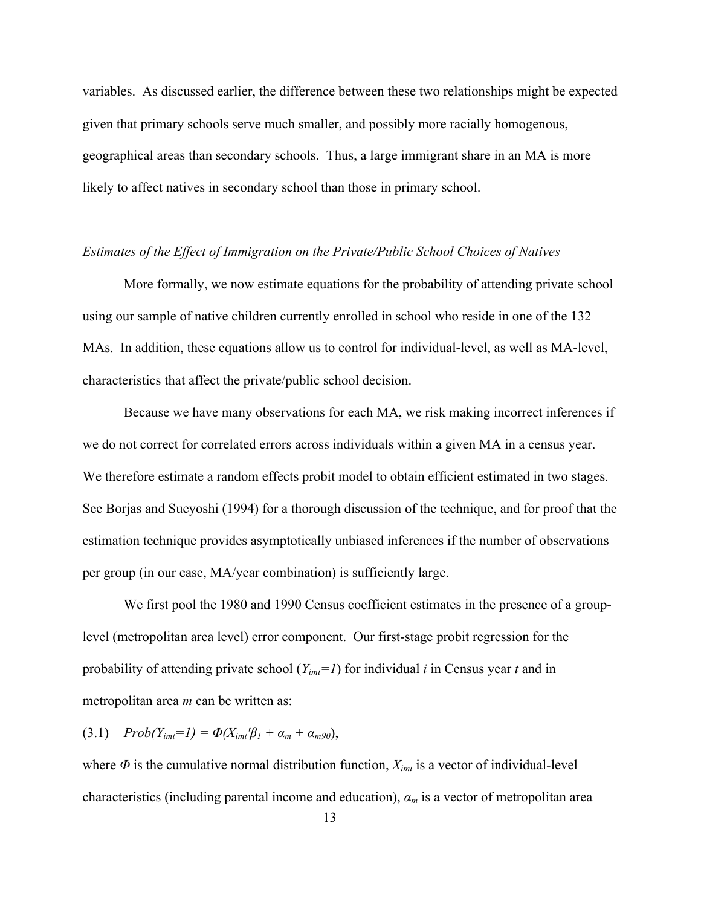variables. As discussed earlier, the difference between these two relationships might be expected given that primary schools serve much smaller, and possibly more racially homogenous, geographical areas than secondary schools. Thus, a large immigrant share in an MA is more likely to affect natives in secondary school than those in primary school.

#### *Estimates of the Effect of Immigration on the Private/Public School Choices of Natives*

More formally, we now estimate equations for the probability of attending private school using our sample of native children currently enrolled in school who reside in one of the 132 MAs. In addition, these equations allow us to control for individual-level, as well as MA-level, characteristics that affect the private/public school decision.

Because we have many observations for each MA, we risk making incorrect inferences if we do not correct for correlated errors across individuals within a given MA in a census year. We therefore estimate a random effects probit model to obtain efficient estimated in two stages. See Borjas and Sueyoshi (1994) for a thorough discussion of the technique, and for proof that the estimation technique provides asymptotically unbiased inferences if the number of observations per group (in our case, MA/year combination) is sufficiently large.

We first pool the 1980 and 1990 Census coefficient estimates in the presence of a grouplevel (metropolitan area level) error component. Our first-stage probit regression for the probability of attending private school (*Yimt=1*) for individual *i* in Census year *t* and in metropolitan area *m* can be written as:

 $(3.1)$  *Prob* $(Y_{imt}=1) = \Phi(X_{imt}\mathcal{B}_1 + \alpha_m + \alpha_{m90}),$ 

where  $\Phi$  is the cumulative normal distribution function,  $X_{imt}$  is a vector of individual-level characteristics (including parental income and education), *α<sup>m</sup>* is a vector of metropolitan area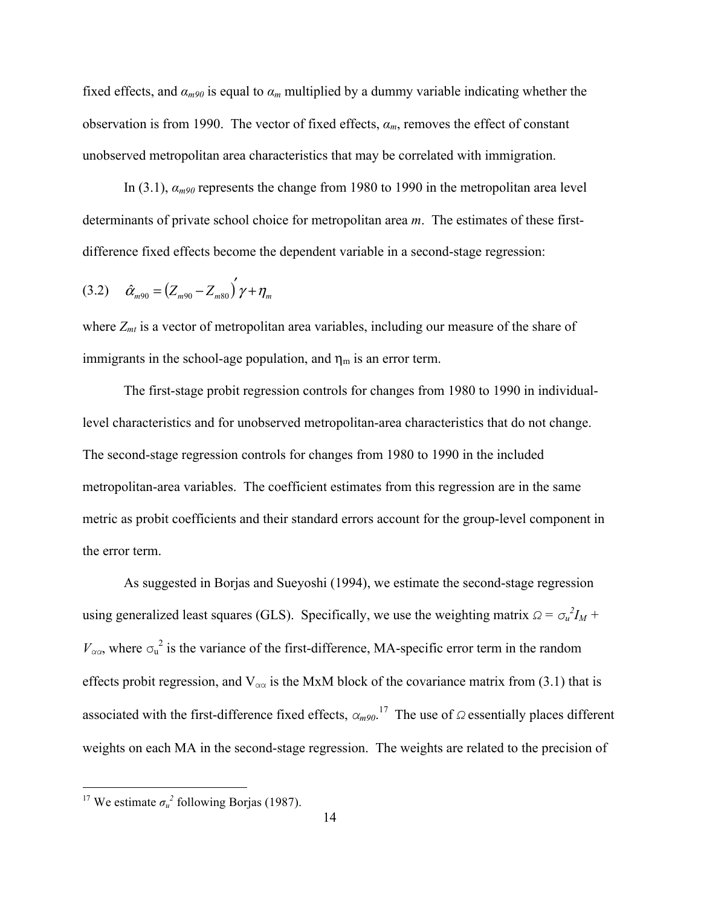fixed effects, and *αm90* is equal to *α<sup>m</sup>* multiplied by a dummy variable indicating whether the observation is from 1990. The vector of fixed effects, *αm*, removes the effect of constant unobserved metropolitan area characteristics that may be correlated with immigration.

In (3.1), *αm90* represents the change from 1980 to 1990 in the metropolitan area level determinants of private school choice for metropolitan area *m*. The estimates of these firstdifference fixed effects become the dependent variable in a second-stage regression:

$$
(3.2) \quad \hat{\alpha}_{m90} = (Z_{m90} - Z_{m80})' \gamma + \eta_m
$$

where  $Z_{mt}$  is a vector of metropolitan area variables, including our measure of the share of immigrants in the school-age population, and  $\eta_m$  is an error term.

The first-stage probit regression controls for changes from 1980 to 1990 in individuallevel characteristics and for unobserved metropolitan-area characteristics that do not change. The second-stage regression controls for changes from 1980 to 1990 in the included metropolitan-area variables. The coefficient estimates from this regression are in the same metric as probit coefficients and their standard errors account for the group-level component in the error term.

As suggested in Borjas and Sueyoshi (1994), we estimate the second-stage regression using generalized least squares (GLS). Specifically, we use the weighting matrix  $\Omega = \sigma_u^2 I_M +$  $V_{\alpha\alpha}$ , where  $\sigma_u^2$  is the variance of the first-difference, MA-specific error term in the random effects probit regression, and  $V_{\alpha\alpha}$  is the MxM block of the covariance matrix from (3.1) that is associated with the first-difference fixed effects, *αm90*. 17 The use of *Ω* essentially places different weights on each MA in the second-stage regression. The weights are related to the precision of

<sup>&</sup>lt;sup>17</sup> We estimate  $\sigma_u^2$  following Borjas (1987).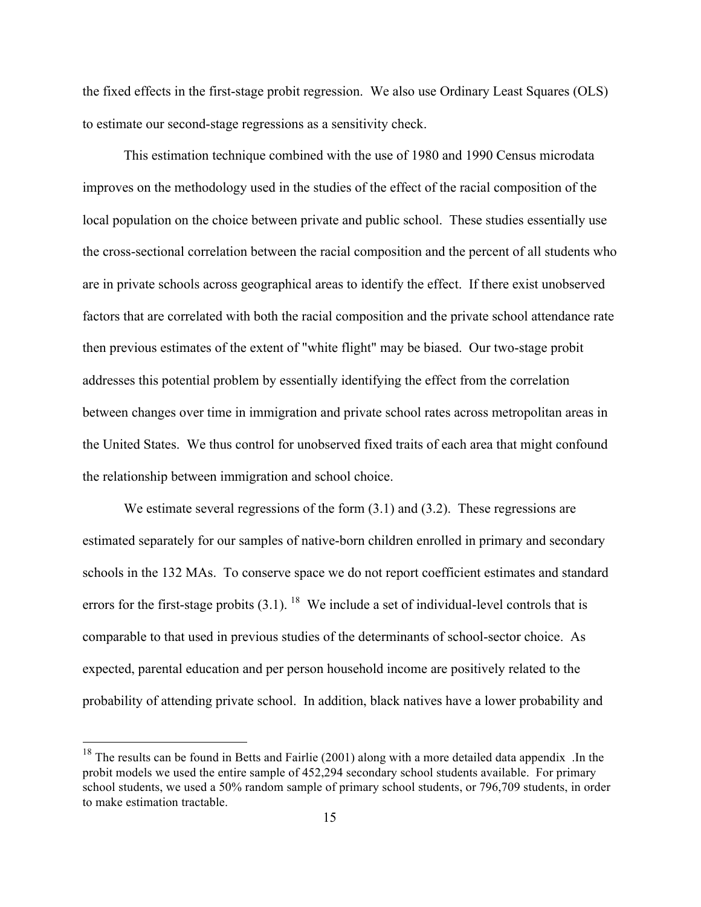the fixed effects in the first-stage probit regression. We also use Ordinary Least Squares (OLS) to estimate our second-stage regressions as a sensitivity check.

This estimation technique combined with the use of 1980 and 1990 Census microdata improves on the methodology used in the studies of the effect of the racial composition of the local population on the choice between private and public school. These studies essentially use the cross-sectional correlation between the racial composition and the percent of all students who are in private schools across geographical areas to identify the effect. If there exist unobserved factors that are correlated with both the racial composition and the private school attendance rate then previous estimates of the extent of "white flight" may be biased. Our two-stage probit addresses this potential problem by essentially identifying the effect from the correlation between changes over time in immigration and private school rates across metropolitan areas in the United States. We thus control for unobserved fixed traits of each area that might confound the relationship between immigration and school choice.

We estimate several regressions of the form  $(3.1)$  and  $(3.2)$ . These regressions are estimated separately for our samples of native-born children enrolled in primary and secondary schools in the 132 MAs. To conserve space we do not report coefficient estimates and standard errors for the first-stage probits  $(3.1)$ . <sup>18</sup> We include a set of individual-level controls that is comparable to that used in previous studies of the determinants of school-sector choice. As expected, parental education and per person household income are positively related to the probability of attending private school. In addition, black natives have a lower probability and

<sup>&</sup>lt;sup>18</sup> The results can be found in Betts and Fairlie (2001) along with a more detailed data appendix .In the probit models we used the entire sample of 452,294 secondary school students available. For primary school students, we used a 50% random sample of primary school students, or 796,709 students, in order to make estimation tractable.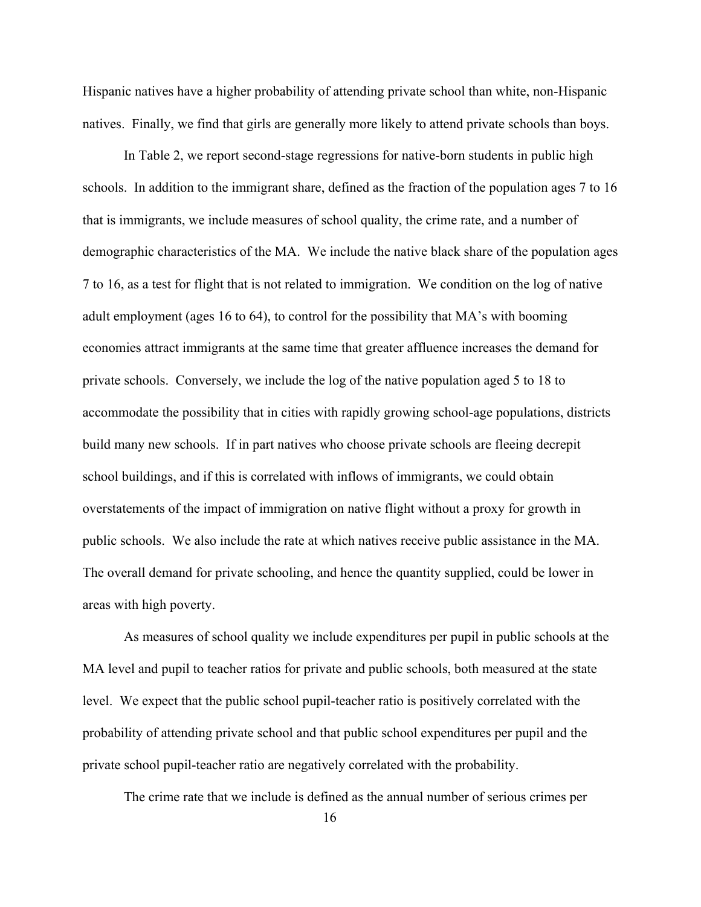Hispanic natives have a higher probability of attending private school than white, non-Hispanic natives. Finally, we find that girls are generally more likely to attend private schools than boys.

In Table 2, we report second-stage regressions for native-born students in public high schools. In addition to the immigrant share, defined as the fraction of the population ages 7 to 16 that is immigrants, we include measures of school quality, the crime rate, and a number of demographic characteristics of the MA. We include the native black share of the population ages 7 to 16, as a test for flight that is not related to immigration. We condition on the log of native adult employment (ages 16 to 64), to control for the possibility that MA's with booming economies attract immigrants at the same time that greater affluence increases the demand for private schools. Conversely, we include the log of the native population aged 5 to 18 to accommodate the possibility that in cities with rapidly growing school-age populations, districts build many new schools. If in part natives who choose private schools are fleeing decrepit school buildings, and if this is correlated with inflows of immigrants, we could obtain overstatements of the impact of immigration on native flight without a proxy for growth in public schools. We also include the rate at which natives receive public assistance in the MA. The overall demand for private schooling, and hence the quantity supplied, could be lower in areas with high poverty.

As measures of school quality we include expenditures per pupil in public schools at the MA level and pupil to teacher ratios for private and public schools, both measured at the state level. We expect that the public school pupil-teacher ratio is positively correlated with the probability of attending private school and that public school expenditures per pupil and the private school pupil-teacher ratio are negatively correlated with the probability.

The crime rate that we include is defined as the annual number of serious crimes per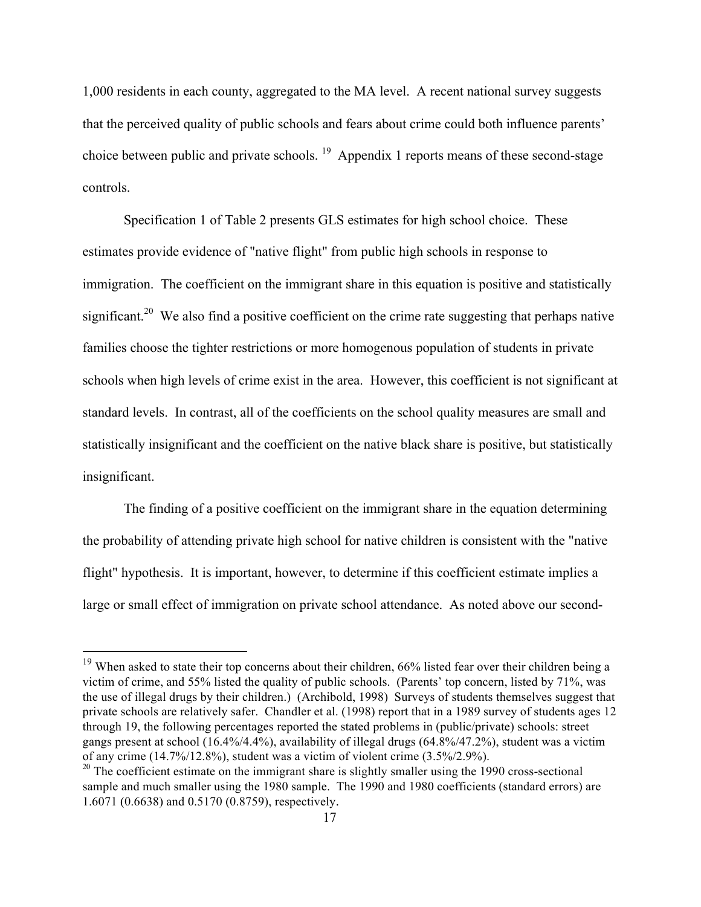1,000 residents in each county, aggregated to the MA level. A recent national survey suggests that the perceived quality of public schools and fears about crime could both influence parents' choice between public and private schools. <sup>19</sup> Appendix 1 reports means of these second-stage controls.

Specification 1 of Table 2 presents GLS estimates for high school choice. These estimates provide evidence of "native flight" from public high schools in response to immigration. The coefficient on the immigrant share in this equation is positive and statistically significant.<sup>20</sup> We also find a positive coefficient on the crime rate suggesting that perhaps native families choose the tighter restrictions or more homogenous population of students in private schools when high levels of crime exist in the area. However, this coefficient is not significant at standard levels. In contrast, all of the coefficients on the school quality measures are small and statistically insignificant and the coefficient on the native black share is positive, but statistically insignificant.

The finding of a positive coefficient on the immigrant share in the equation determining the probability of attending private high school for native children is consistent with the "native flight" hypothesis. It is important, however, to determine if this coefficient estimate implies a large or small effect of immigration on private school attendance. As noted above our second-

<sup>&</sup>lt;sup>19</sup> When asked to state their top concerns about their children, 66% listed fear over their children being a victim of crime, and 55% listed the quality of public schools. (Parents' top concern, listed by 71%, was the use of illegal drugs by their children.) (Archibold, 1998) Surveys of students themselves suggest that private schools are relatively safer. Chandler et al. (1998) report that in a 1989 survey of students ages 12 through 19, the following percentages reported the stated problems in (public/private) schools: street gangs present at school (16.4%/4.4%), availability of illegal drugs (64.8%/47.2%), student was a victim of any crime (14.7%/12.8%), student was a victim of violent crime (3.5%/2.9%).

 $20$  The coefficient estimate on the immigrant share is slightly smaller using the 1990 cross-sectional sample and much smaller using the 1980 sample. The 1990 and 1980 coefficients (standard errors) are 1.6071 (0.6638) and 0.5170 (0.8759), respectively.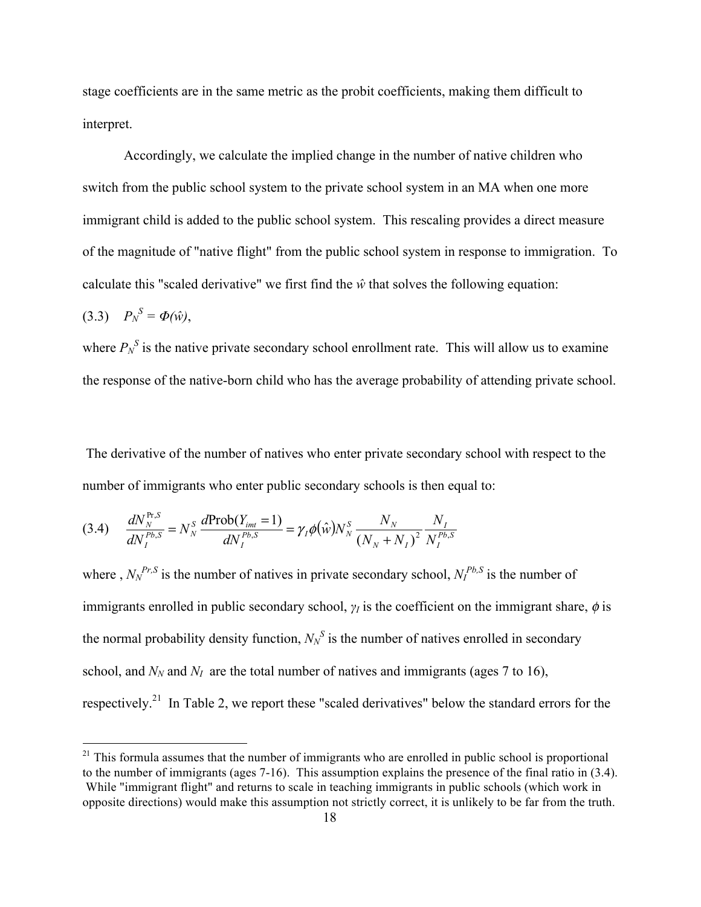stage coefficients are in the same metric as the probit coefficients, making them difficult to interpret.

Accordingly, we calculate the implied change in the number of native children who switch from the public school system to the private school system in an MA when one more immigrant child is added to the public school system. This rescaling provides a direct measure of the magnitude of "native flight" from the public school system in response to immigration. To calculate this "scaled derivative" we first find the  $\hat{w}$  that solves the following equation:

$$
(3.3) \tP_N^S = \Phi(\hat{w}),
$$

where  $P_N^S$  is the native private secondary school enrollment rate. This will allow us to examine the response of the native-born child who has the average probability of attending private school.

The derivative of the number of natives who enter private secondary school with respect to the number of immigrants who enter public secondary schools is then equal to:

$$
(3.4) \quad \frac{dN_N^{\text{Pr},S}}{dN_I^{\text{Pb},S}} = N_N^S \frac{d\text{Prob}(Y_{\text{int}} = 1)}{dN_I^{\text{Pb},S}} = \gamma_I \phi(\hat{w}) N_N^S \frac{N_N}{(N_N + N_I)^2} \frac{N_I}{N_I^{\text{Pb},S}}
$$

where,  $N_N^{Pr,S}$  is the number of natives in private secondary school,  $N_I^{Pb,S}$  is the number of immigrants enrolled in public secondary school,  $\gamma$ *I* is the coefficient on the immigrant share,  $\phi$  is the normal probability density function,  $N_N^S$  is the number of natives enrolled in secondary school, and  $N<sub>N</sub>$  and  $N<sub>I</sub>$  are the total number of natives and immigrants (ages 7 to 16), respectively.<sup>21</sup> In Table 2, we report these "scaled derivatives" below the standard errors for the

 $21$  This formula assumes that the number of immigrants who are enrolled in public school is proportional to the number of immigrants (ages 7-16). This assumption explains the presence of the final ratio in (3.4). While "immigrant flight" and returns to scale in teaching immigrants in public schools (which work in opposite directions) would make this assumption not strictly correct, it is unlikely to be far from the truth.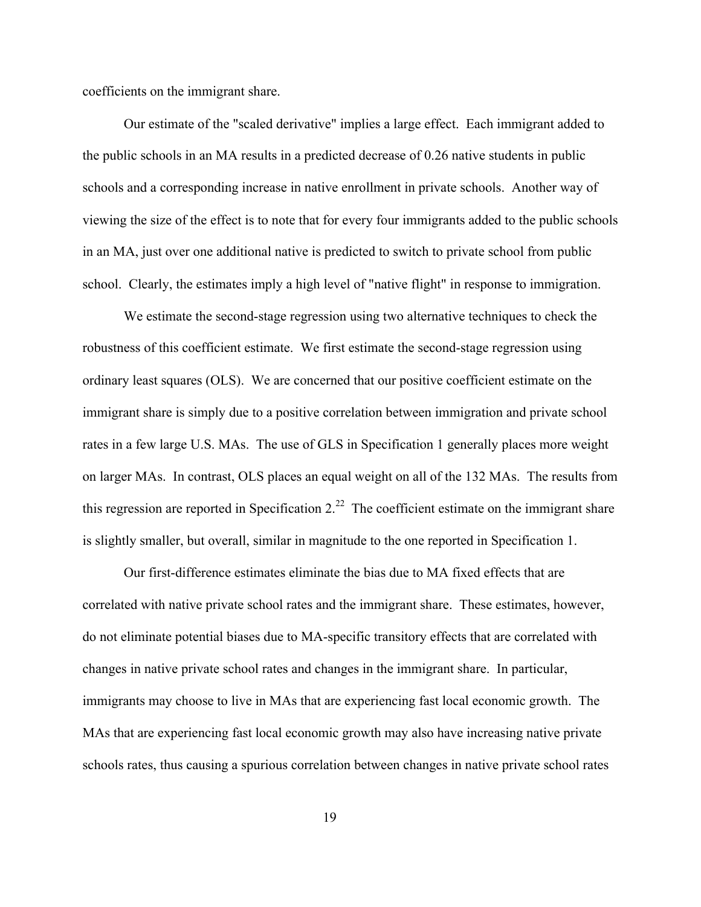coefficients on the immigrant share.

Our estimate of the "scaled derivative" implies a large effect. Each immigrant added to the public schools in an MA results in a predicted decrease of 0.26 native students in public schools and a corresponding increase in native enrollment in private schools. Another way of viewing the size of the effect is to note that for every four immigrants added to the public schools in an MA, just over one additional native is predicted to switch to private school from public school. Clearly, the estimates imply a high level of "native flight" in response to immigration.

We estimate the second-stage regression using two alternative techniques to check the robustness of this coefficient estimate. We first estimate the second-stage regression using ordinary least squares (OLS). We are concerned that our positive coefficient estimate on the immigrant share is simply due to a positive correlation between immigration and private school rates in a few large U.S. MAs. The use of GLS in Specification 1 generally places more weight on larger MAs. In contrast, OLS places an equal weight on all of the 132 MAs. The results from this regression are reported in Specification  $2<sup>22</sup>$ . The coefficient estimate on the immigrant share is slightly smaller, but overall, similar in magnitude to the one reported in Specification 1.

Our first-difference estimates eliminate the bias due to MA fixed effects that are correlated with native private school rates and the immigrant share. These estimates, however, do not eliminate potential biases due to MA-specific transitory effects that are correlated with changes in native private school rates and changes in the immigrant share. In particular, immigrants may choose to live in MAs that are experiencing fast local economic growth. The MAs that are experiencing fast local economic growth may also have increasing native private schools rates, thus causing a spurious correlation between changes in native private school rates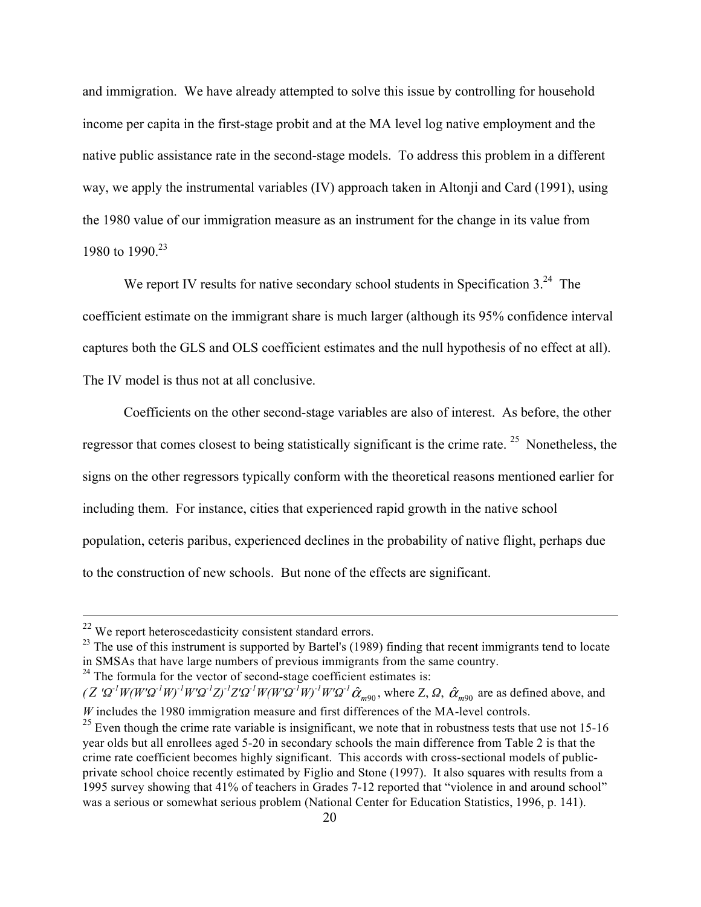and immigration. We have already attempted to solve this issue by controlling for household income per capita in the first-stage probit and at the MA level log native employment and the native public assistance rate in the second-stage models. To address this problem in a different way, we apply the instrumental variables (IV) approach taken in Altonji and Card (1991), using the 1980 value of our immigration measure as an instrument for the change in its value from 1980 to 1990.<sup>23</sup>

We report IV results for native secondary school students in Specification  $3<sup>24</sup>$ . The coefficient estimate on the immigrant share is much larger (although its 95% confidence interval captures both the GLS and OLS coefficient estimates and the null hypothesis of no effect at all). The IV model is thus not at all conclusive.

Coefficients on the other second-stage variables are also of interest. As before, the other regressor that comes closest to being statistically significant is the crime rate. <sup>25</sup> Nonetheless, the signs on the other regressors typically conform with the theoretical reasons mentioned earlier for including them. For instance, cities that experienced rapid growth in the native school population, ceteris paribus, experienced declines in the probability of native flight, perhaps due to the construction of new schools. But none of the effects are significant.

 $24$  The formula for the vector of second-stage coefficient estimates is:

 $22$  We report heteroscedasticity consistent standard errors.

<sup>&</sup>lt;sup>23</sup> The use of this instrument is supported by Bartel's (1989) finding that recent immigrants tend to locate in SMSAs that have large numbers of previous immigrants from the same country.

 $(Z' \Omega^1 W (W' \Omega^1 W)^1 W' \Omega^1 Z)^1 Z' \Omega^1 W (W' \Omega^1 W)^1 W' \Omega^1 \hat{\alpha}_{m90}$ , where Z,  $\Omega$ ,  $\hat{\alpha}_{m90}$  are as defined above, and *W* includes the 1980 immigration measure and first differences of the MA-level controls.

 $25$  Even though the crime rate variable is insignificant, we note that in robustness tests that use not 15-16 year olds but all enrollees aged 5-20 in secondary schools the main difference from Table 2 is that the crime rate coefficient becomes highly significant. This accords with cross-sectional models of publicprivate school choice recently estimated by Figlio and Stone (1997). It also squares with results from a 1995 survey showing that 41% of teachers in Grades 7-12 reported that "violence in and around school" was a serious or somewhat serious problem (National Center for Education Statistics, 1996, p. 141).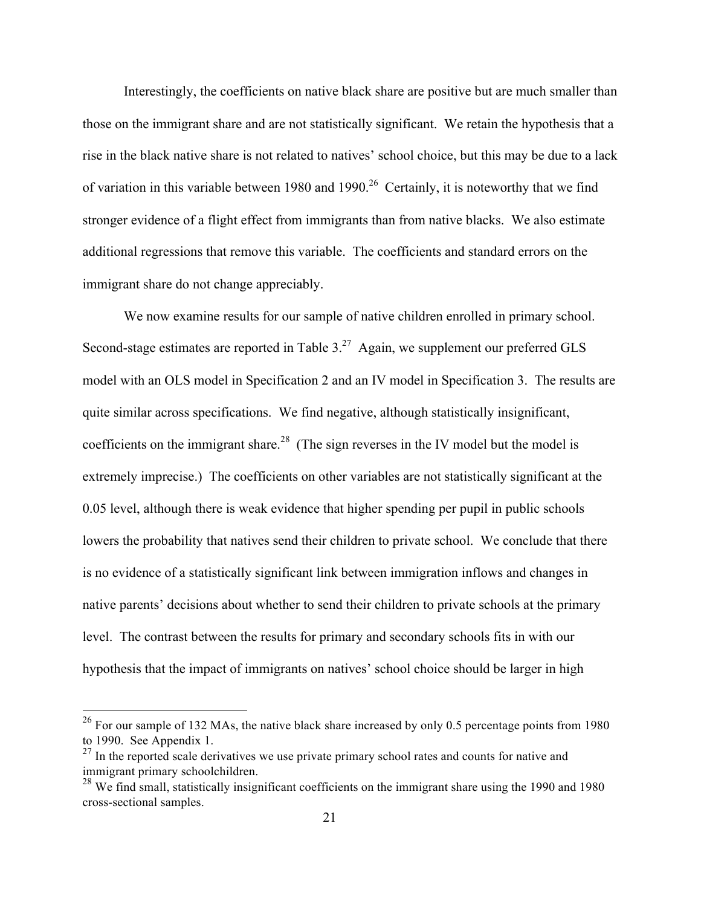Interestingly, the coefficients on native black share are positive but are much smaller than those on the immigrant share and are not statistically significant. We retain the hypothesis that a rise in the black native share is not related to natives' school choice, but this may be due to a lack of variation in this variable between 1980 and 1990.<sup>26</sup> Certainly, it is noteworthy that we find stronger evidence of a flight effect from immigrants than from native blacks. We also estimate additional regressions that remove this variable. The coefficients and standard errors on the immigrant share do not change appreciably.

We now examine results for our sample of native children enrolled in primary school. Second-stage estimates are reported in Table  $3<sup>27</sup>$  Again, we supplement our preferred GLS model with an OLS model in Specification 2 and an IV model in Specification 3. The results are quite similar across specifications. We find negative, although statistically insignificant, coefficients on the immigrant share.<sup>28</sup> (The sign reverses in the IV model but the model is extremely imprecise.) The coefficients on other variables are not statistically significant at the 0.05 level, although there is weak evidence that higher spending per pupil in public schools lowers the probability that natives send their children to private school. We conclude that there is no evidence of a statistically significant link between immigration inflows and changes in native parents' decisions about whether to send their children to private schools at the primary level. The contrast between the results for primary and secondary schools fits in with our hypothesis that the impact of immigrants on natives' school choice should be larger in high

 $26$  For our sample of 132 MAs, the native black share increased by only 0.5 percentage points from 1980 to 1990. See Appendix 1.

 $27$  In the reported scale derivatives we use private primary school rates and counts for native and immigrant primary schoolchildren.

<sup>&</sup>lt;sup>28</sup> We find small, statistically insignificant coefficients on the immigrant share using the 1990 and 1980 cross-sectional samples.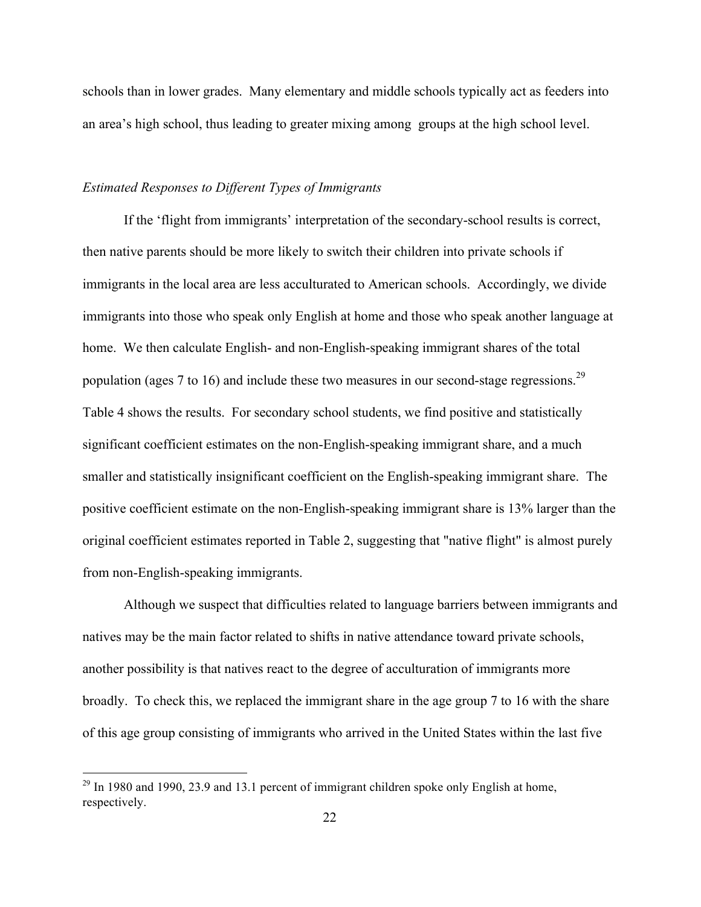schools than in lower grades. Many elementary and middle schools typically act as feeders into an area's high school, thus leading to greater mixing among groups at the high school level.

#### *Estimated Responses to Different Types of Immigrants*

If the 'flight from immigrants' interpretation of the secondary-school results is correct, then native parents should be more likely to switch their children into private schools if immigrants in the local area are less acculturated to American schools. Accordingly, we divide immigrants into those who speak only English at home and those who speak another language at home. We then calculate English- and non-English-speaking immigrant shares of the total population (ages 7 to 16) and include these two measures in our second-stage regressions.<sup>29</sup> Table 4 shows the results. For secondary school students, we find positive and statistically significant coefficient estimates on the non-English-speaking immigrant share, and a much smaller and statistically insignificant coefficient on the English-speaking immigrant share. The positive coefficient estimate on the non-English-speaking immigrant share is 13% larger than the original coefficient estimates reported in Table 2, suggesting that "native flight" is almost purely from non-English-speaking immigrants.

Although we suspect that difficulties related to language barriers between immigrants and natives may be the main factor related to shifts in native attendance toward private schools, another possibility is that natives react to the degree of acculturation of immigrants more broadly. To check this, we replaced the immigrant share in the age group 7 to 16 with the share of this age group consisting of immigrants who arrived in the United States within the last five

 $29$  In 1980 and 1990, 23.9 and 13.1 percent of immigrant children spoke only English at home, respectively.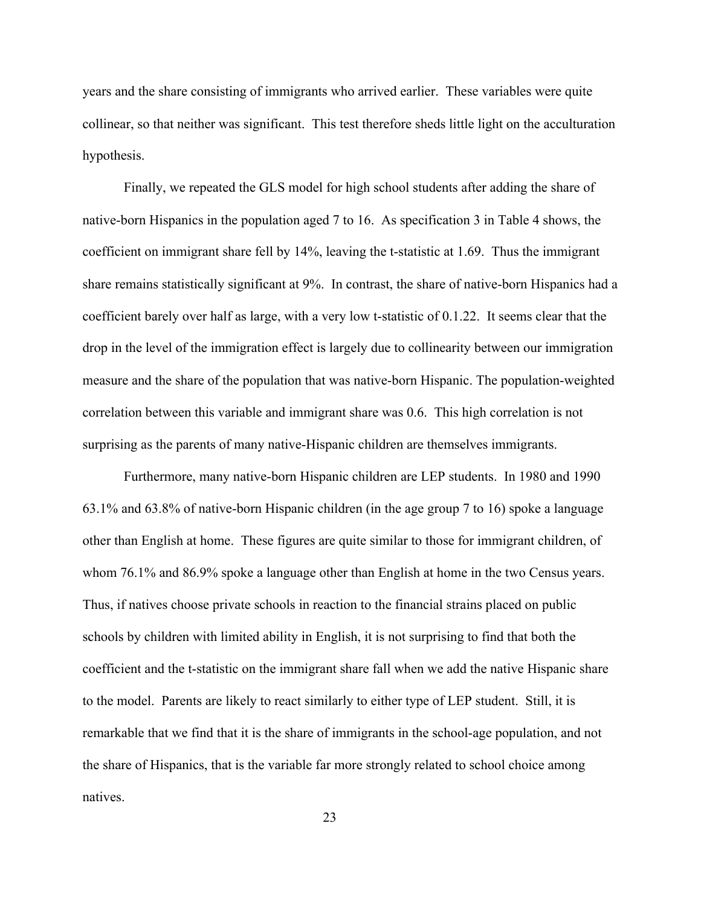years and the share consisting of immigrants who arrived earlier. These variables were quite collinear, so that neither was significant. This test therefore sheds little light on the acculturation hypothesis.

Finally, we repeated the GLS model for high school students after adding the share of native-born Hispanics in the population aged 7 to 16. As specification 3 in Table 4 shows, the coefficient on immigrant share fell by 14%, leaving the t-statistic at 1.69. Thus the immigrant share remains statistically significant at 9%. In contrast, the share of native-born Hispanics had a coefficient barely over half as large, with a very low t-statistic of 0.1.22. It seems clear that the drop in the level of the immigration effect is largely due to collinearity between our immigration measure and the share of the population that was native-born Hispanic. The population-weighted correlation between this variable and immigrant share was 0.6. This high correlation is not surprising as the parents of many native-Hispanic children are themselves immigrants.

Furthermore, many native-born Hispanic children are LEP students. In 1980 and 1990 63.1% and 63.8% of native-born Hispanic children (in the age group 7 to 16) spoke a language other than English at home. These figures are quite similar to those for immigrant children, of whom 76.1% and 86.9% spoke a language other than English at home in the two Census years. Thus, if natives choose private schools in reaction to the financial strains placed on public schools by children with limited ability in English, it is not surprising to find that both the coefficient and the t-statistic on the immigrant share fall when we add the native Hispanic share to the model. Parents are likely to react similarly to either type of LEP student. Still, it is remarkable that we find that it is the share of immigrants in the school-age population, and not the share of Hispanics, that is the variable far more strongly related to school choice among natives.

23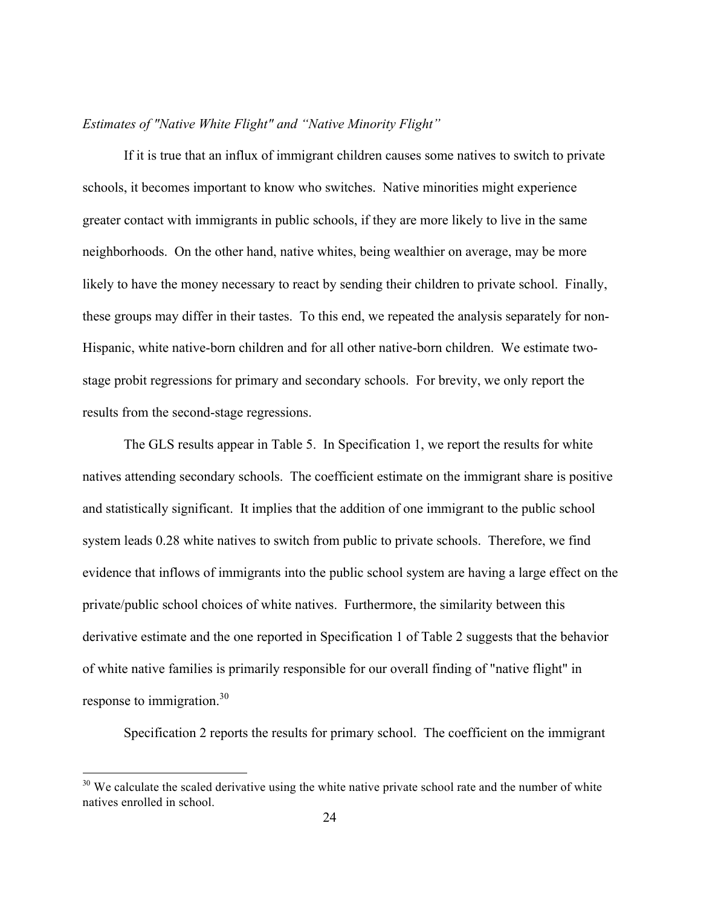### *Estimates of "Native White Flight" and "Native Minority Flight"*

If it is true that an influx of immigrant children causes some natives to switch to private schools, it becomes important to know who switches. Native minorities might experience greater contact with immigrants in public schools, if they are more likely to live in the same neighborhoods. On the other hand, native whites, being wealthier on average, may be more likely to have the money necessary to react by sending their children to private school. Finally, these groups may differ in their tastes. To this end, we repeated the analysis separately for non-Hispanic, white native-born children and for all other native-born children. We estimate twostage probit regressions for primary and secondary schools. For brevity, we only report the results from the second-stage regressions.

The GLS results appear in Table 5. In Specification 1, we report the results for white natives attending secondary schools. The coefficient estimate on the immigrant share is positive and statistically significant. It implies that the addition of one immigrant to the public school system leads 0.28 white natives to switch from public to private schools. Therefore, we find evidence that inflows of immigrants into the public school system are having a large effect on the private/public school choices of white natives. Furthermore, the similarity between this derivative estimate and the one reported in Specification 1 of Table 2 suggests that the behavior of white native families is primarily responsible for our overall finding of "native flight" in response to immigration.<sup>30</sup>

Specification 2 reports the results for primary school. The coefficient on the immigrant

 $30$  We calculate the scaled derivative using the white native private school rate and the number of white natives enrolled in school.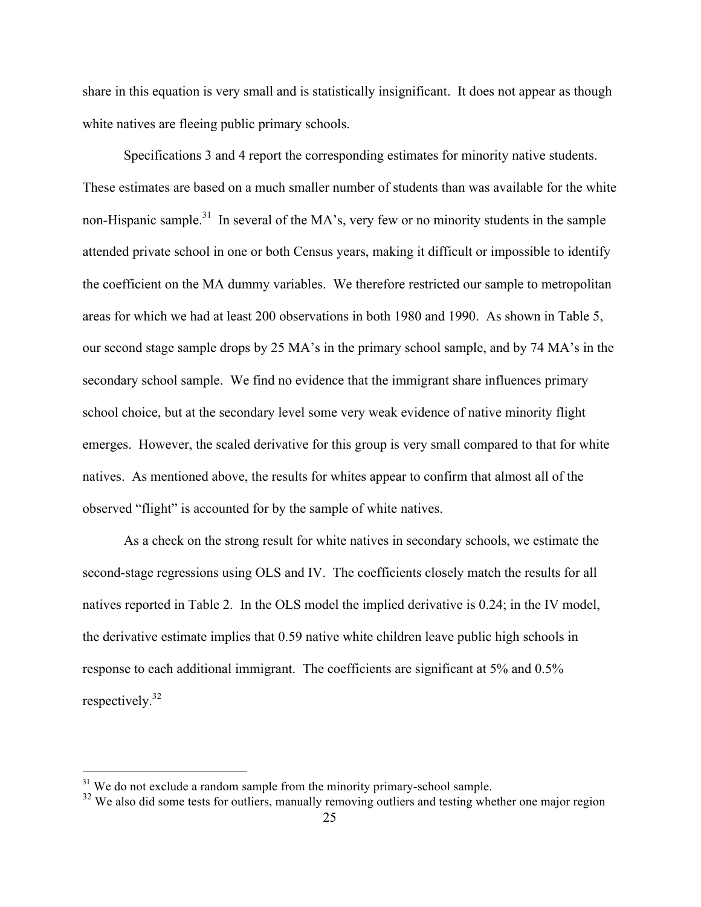share in this equation is very small and is statistically insignificant. It does not appear as though white natives are fleeing public primary schools.

Specifications 3 and 4 report the corresponding estimates for minority native students. These estimates are based on a much smaller number of students than was available for the white non-Hispanic sample.<sup>31</sup> In several of the MA's, very few or no minority students in the sample attended private school in one or both Census years, making it difficult or impossible to identify the coefficient on the MA dummy variables. We therefore restricted our sample to metropolitan areas for which we had at least 200 observations in both 1980 and 1990. As shown in Table 5, our second stage sample drops by 25 MA's in the primary school sample, and by 74 MA's in the secondary school sample. We find no evidence that the immigrant share influences primary school choice, but at the secondary level some very weak evidence of native minority flight emerges. However, the scaled derivative for this group is very small compared to that for white natives. As mentioned above, the results for whites appear to confirm that almost all of the observed "flight" is accounted for by the sample of white natives.

As a check on the strong result for white natives in secondary schools, we estimate the second-stage regressions using OLS and IV. The coefficients closely match the results for all natives reported in Table 2. In the OLS model the implied derivative is 0.24; in the IV model, the derivative estimate implies that 0.59 native white children leave public high schools in response to each additional immigrant. The coefficients are significant at 5% and 0.5% respectively. $32$ 

 $31$  We do not exclude a random sample from the minority primary-school sample.

<sup>&</sup>lt;sup>32</sup> We also did some tests for outliers, manually removing outliers and testing whether one major region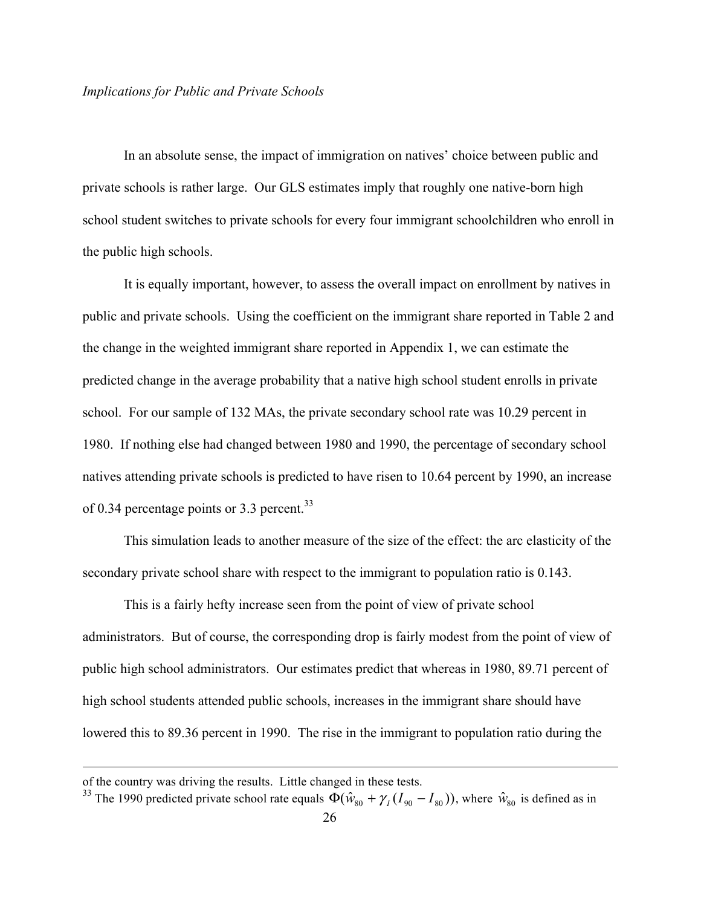In an absolute sense, the impact of immigration on natives' choice between public and private schools is rather large. Our GLS estimates imply that roughly one native-born high school student switches to private schools for every four immigrant schoolchildren who enroll in the public high schools.

It is equally important, however, to assess the overall impact on enrollment by natives in public and private schools. Using the coefficient on the immigrant share reported in Table 2 and the change in the weighted immigrant share reported in Appendix 1, we can estimate the predicted change in the average probability that a native high school student enrolls in private school. For our sample of 132 MAs, the private secondary school rate was 10.29 percent in 1980. If nothing else had changed between 1980 and 1990, the percentage of secondary school natives attending private schools is predicted to have risen to 10.64 percent by 1990, an increase of 0.34 percentage points or 3.3 percent.<sup>33</sup>

This simulation leads to another measure of the size of the effect: the arc elasticity of the secondary private school share with respect to the immigrant to population ratio is 0.143.

This is a fairly hefty increase seen from the point of view of private school administrators. But of course, the corresponding drop is fairly modest from the point of view of public high school administrators. Our estimates predict that whereas in 1980, 89.71 percent of high school students attended public schools, increases in the immigrant share should have lowered this to 89.36 percent in 1990. The rise in the immigrant to population ratio during the

 $\overline{a}$ 

of the country was driving the results. Little changed in these tests.

<sup>&</sup>lt;sup>33</sup> The 1990 predicted private school rate equals  $\Phi(\hat{w}_{80} + \gamma_I (I_{90} - I_{80}))$ , where  $\hat{w}_{80}$  is defined as in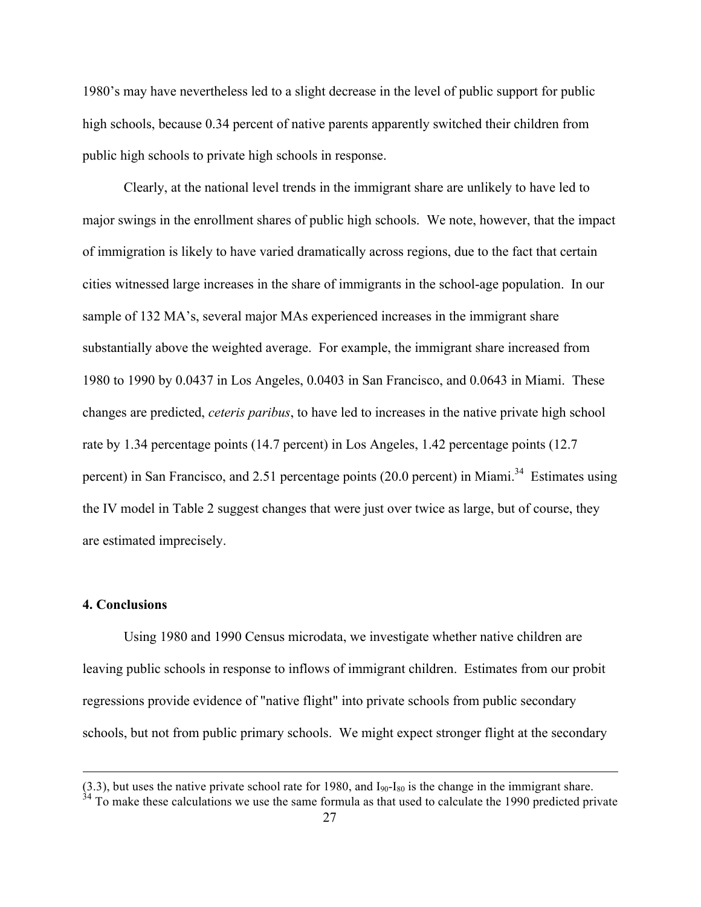1980's may have nevertheless led to a slight decrease in the level of public support for public high schools, because 0.34 percent of native parents apparently switched their children from public high schools to private high schools in response.

Clearly, at the national level trends in the immigrant share are unlikely to have led to major swings in the enrollment shares of public high schools. We note, however, that the impact of immigration is likely to have varied dramatically across regions, due to the fact that certain cities witnessed large increases in the share of immigrants in the school-age population. In our sample of 132 MA's, several major MAs experienced increases in the immigrant share substantially above the weighted average. For example, the immigrant share increased from 1980 to 1990 by 0.0437 in Los Angeles, 0.0403 in San Francisco, and 0.0643 in Miami. These changes are predicted, *ceteris paribus*, to have led to increases in the native private high school rate by 1.34 percentage points (14.7 percent) in Los Angeles, 1.42 percentage points (12.7 percent) in San Francisco, and 2.51 percentage points (20.0 percent) in Miami.<sup>34</sup> Estimates using the IV model in Table 2 suggest changes that were just over twice as large, but of course, they are estimated imprecisely.

## **4. Conclusions**

 $\overline{a}$ 

Using 1980 and 1990 Census microdata, we investigate whether native children are leaving public schools in response to inflows of immigrant children. Estimates from our probit regressions provide evidence of "native flight" into private schools from public secondary schools, but not from public primary schools. We might expect stronger flight at the secondary

 $(3.3)$ , but uses the native private school rate for 1980, and  $I_{90}$ - $I_{80}$  is the change in the immigrant share.

 $34$  To make these calculations we use the same formula as that used to calculate the 1990 predicted private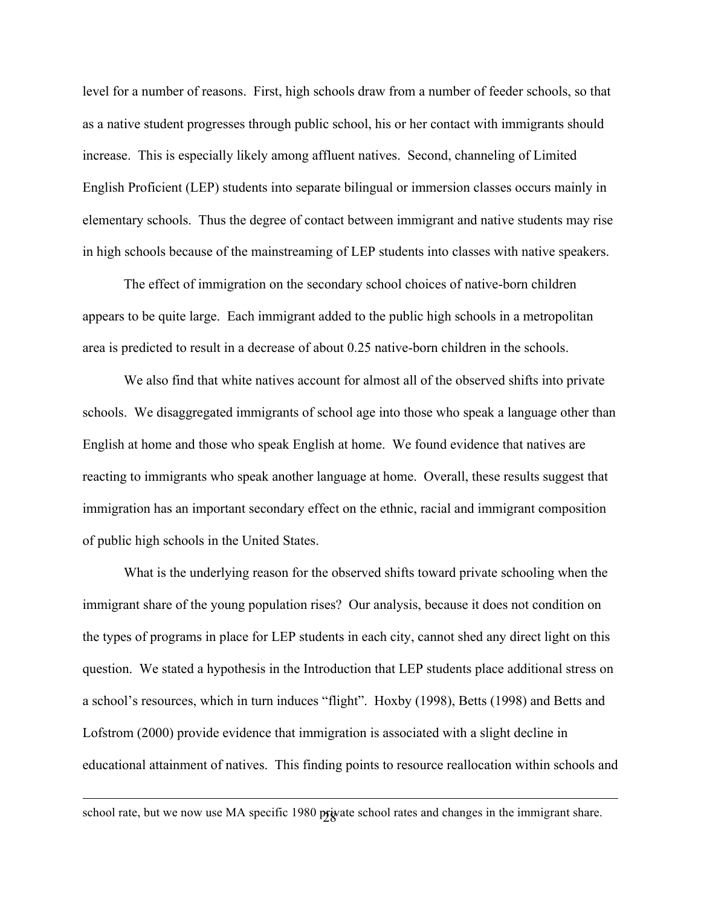level for a number of reasons. First, high schools draw from a number of feeder schools, so that as a native student progresses through public school, his or her contact with immigrants should increase. This is especially likely among affluent natives. Second, channeling of Limited English Proficient (LEP) students into separate bilingual or immersion classes occurs mainly in elementary schools. Thus the degree of contact between immigrant and native students may rise in high schools because of the mainstreaming of LEP students into classes with native speakers.

The effect of immigration on the secondary school choices of native-born children appears to be quite large. Each immigrant added to the public high schools in a metropolitan area is predicted to result in a decrease of about 0.25 native-born children in the schools.

We also find that white natives account for almost all of the observed shifts into private schools. We disaggregated immigrants of school age into those who speak a language other than English at home and those who speak English at home. We found evidence that natives are reacting to immigrants who speak another language at home. Overall, these results suggest that immigration has an important secondary effect on the ethnic, racial and immigrant composition of public high schools in the United States.

What is the underlying reason for the observed shifts toward private schooling when the immigrant share of the young population rises? Our analysis, because it does not condition on the types of programs in place for LEP students in each city, cannot shed any direct light on this question. We stated a hypothesis in the Introduction that LEP students place additional stress on a school's resources, which in turn induces "flight". Hoxby (1998), Betts (1998) and Betts and Lofstrom (2000) provide evidence that immigration is associated with a slight decline in educational attainment of natives. This finding points to resource reallocation within schools and

school rate, but we now use MA specific 1980 private school rates and changes in the immigrant share.

 $\overline{a}$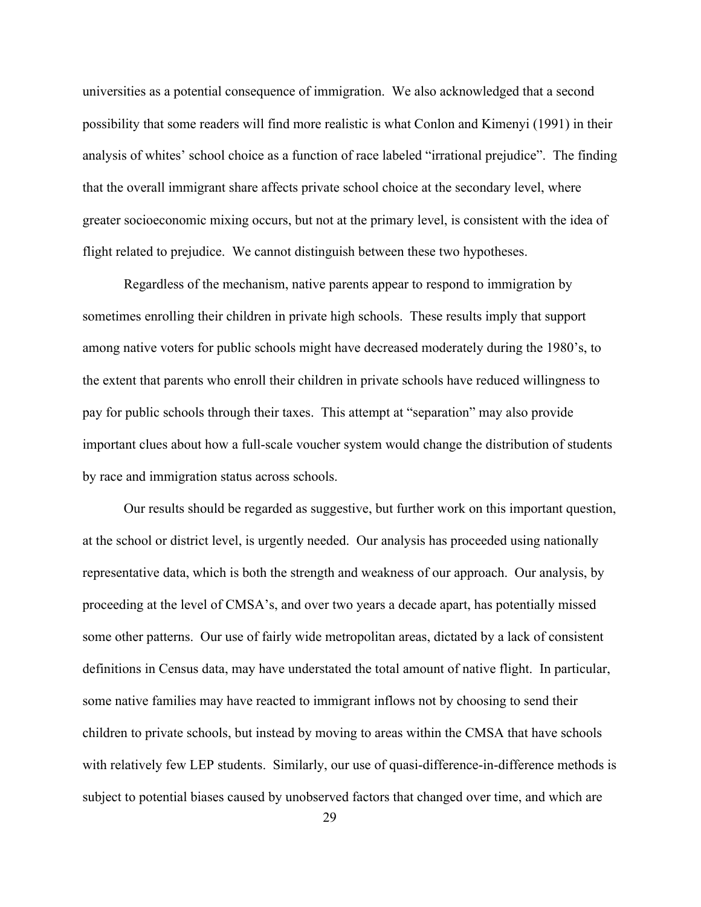universities as a potential consequence of immigration. We also acknowledged that a second possibility that some readers will find more realistic is what Conlon and Kimenyi (1991) in their analysis of whites' school choice as a function of race labeled "irrational prejudice". The finding that the overall immigrant share affects private school choice at the secondary level, where greater socioeconomic mixing occurs, but not at the primary level, is consistent with the idea of flight related to prejudice. We cannot distinguish between these two hypotheses.

Regardless of the mechanism, native parents appear to respond to immigration by sometimes enrolling their children in private high schools. These results imply that support among native voters for public schools might have decreased moderately during the 1980's, to the extent that parents who enroll their children in private schools have reduced willingness to pay for public schools through their taxes. This attempt at "separation" may also provide important clues about how a full-scale voucher system would change the distribution of students by race and immigration status across schools.

Our results should be regarded as suggestive, but further work on this important question, at the school or district level, is urgently needed. Our analysis has proceeded using nationally representative data, which is both the strength and weakness of our approach. Our analysis, by proceeding at the level of CMSA's, and over two years a decade apart, has potentially missed some other patterns. Our use of fairly wide metropolitan areas, dictated by a lack of consistent definitions in Census data, may have understated the total amount of native flight. In particular, some native families may have reacted to immigrant inflows not by choosing to send their children to private schools, but instead by moving to areas within the CMSA that have schools with relatively few LEP students. Similarly, our use of quasi-difference-in-difference methods is subject to potential biases caused by unobserved factors that changed over time, and which are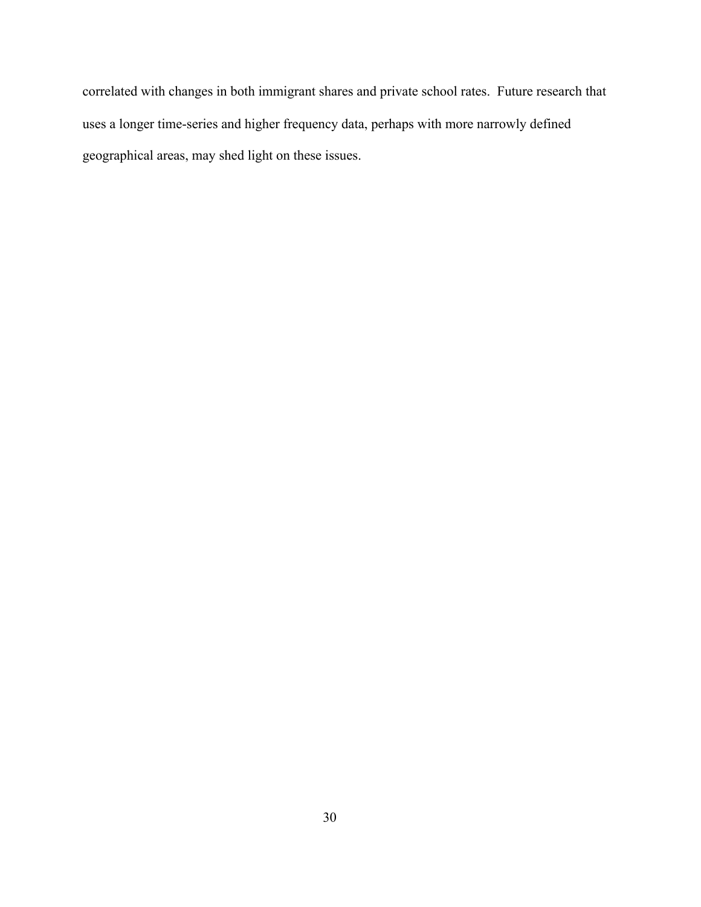correlated with changes in both immigrant shares and private school rates. Future research that uses a longer time-series and higher frequency data, perhaps with more narrowly defined geographical areas, may shed light on these issues.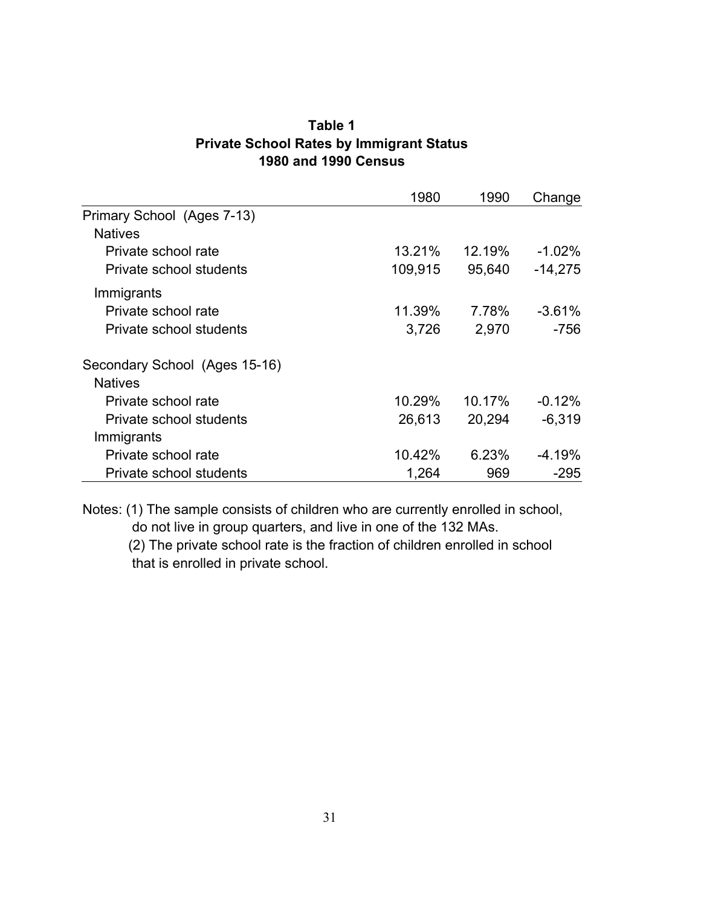| Table 1                                         |
|-------------------------------------------------|
| <b>Private School Rates by Immigrant Status</b> |
| <b>1980 and 1990 Census</b>                     |

|                               | 1980    | 1990          | Change    |
|-------------------------------|---------|---------------|-----------|
| Primary School (Ages 7-13)    |         |               |           |
| <b>Natives</b>                |         |               |           |
| Private school rate           | 13.21%  | <u>12.19%</u> | $-1.02\%$ |
| Private school students       | 109,915 | 95,640        | $-14,275$ |
| Immigrants                    |         |               |           |
| Private school rate           | 11.39%  | 7.78%         | $-3.61\%$ |
| Private school students       | 3,726   | 2,970         | $-756$    |
| Secondary School (Ages 15-16) |         |               |           |
| <b>Natives</b>                |         |               |           |
| Private school rate           | 10.29%  | 10.17%        | $-0.12\%$ |
| Private school students       | 26,613  | 20,294        | $-6,319$  |
| Immigrants                    |         |               |           |
| Private school rate           | 10.42%  | 6.23%         | -4.19%    |
| Private school students       | 1,264   | 969           | $-295$    |

Notes: (1) The sample consists of children who are currently enrolled in school, do not live in group quarters, and live in one of the 132 MAs.

 (2) The private school rate is the fraction of children enrolled in school that is enrolled in private school.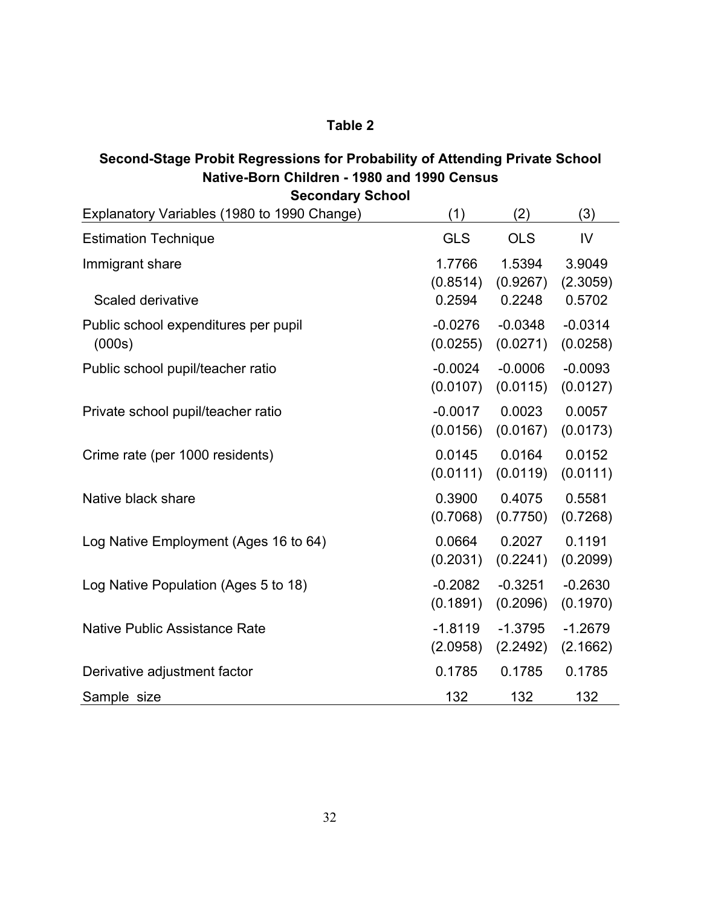# **Table 2**

## **Second-Stage Probit Regressions for Probability of Attending Private School Native-Born Children - 1980 and 1990 Census Secondary School**

| Secondary School                            |                    |                    |                    |  |  |
|---------------------------------------------|--------------------|--------------------|--------------------|--|--|
| Explanatory Variables (1980 to 1990 Change) | (1)                | (2)                | (3)                |  |  |
| <b>Estimation Technique</b>                 | <b>GLS</b>         | <b>OLS</b>         | IV                 |  |  |
| Immigrant share                             | 1.7766<br>(0.8514) | 1.5394<br>(0.9267) | 3.9049             |  |  |
| Scaled derivative                           | 0.2594             | 0.2248             | (2.3059)<br>0.5702 |  |  |
| Public school expenditures per pupil        | $-0.0276$          | $-0.0348$          | $-0.0314$          |  |  |
| (000s)                                      | (0.0255)           | (0.0271)           | (0.0258)           |  |  |
| Public school pupil/teacher ratio           | $-0.0024$          | $-0.0006$          | $-0.0093$          |  |  |
|                                             | (0.0107)           | (0.0115)           | (0.0127)           |  |  |
| Private school pupil/teacher ratio          | $-0.0017$          | 0.0023             | 0.0057             |  |  |
|                                             | (0.0156)           | (0.0167)           | (0.0173)           |  |  |
| Crime rate (per 1000 residents)             | 0.0145             | 0.0164             | 0.0152             |  |  |
|                                             | (0.0111)           | (0.0119)           | (0.0111)           |  |  |
| Native black share                          | 0.3900             | 0.4075             | 0.5581             |  |  |
|                                             | (0.7068)           | (0.7750)           | (0.7268)           |  |  |
| Log Native Employment (Ages 16 to 64)       | 0.0664             | 0.2027             | 0.1191             |  |  |
|                                             | (0.2031)           | (0.2241)           | (0.2099)           |  |  |
| Log Native Population (Ages 5 to 18)        | $-0.2082$          | $-0.3251$          | $-0.2630$          |  |  |
|                                             | (0.1891)           | (0.2096)           | (0.1970)           |  |  |
| <b>Native Public Assistance Rate</b>        | $-1.8119$          | $-1.3795$          | $-1.2679$          |  |  |
|                                             | (2.0958)           | (2.2492)           | (2.1662)           |  |  |
| Derivative adjustment factor                | 0.1785             | 0.1785             | 0.1785             |  |  |
| Sample size                                 | 132                | 132                | 132                |  |  |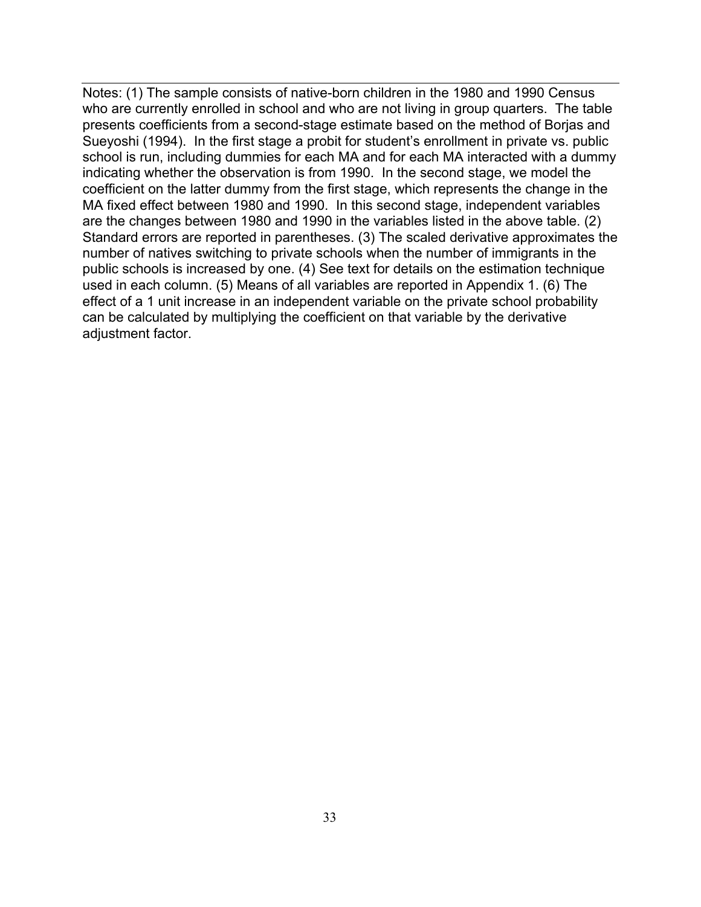Notes: (1) The sample consists of native-born children in the 1980 and 1990 Census who are currently enrolled in school and who are not living in group quarters. The table presents coefficients from a second-stage estimate based on the method of Borjas and Sueyoshi (1994). In the first stage a probit for student's enrollment in private vs. public school is run, including dummies for each MA and for each MA interacted with a dummy indicating whether the observation is from 1990. In the second stage, we model the coefficient on the latter dummy from the first stage, which represents the change in the MA fixed effect between 1980 and 1990. In this second stage, independent variables are the changes between 1980 and 1990 in the variables listed in the above table. (2) Standard errors are reported in parentheses. (3) The scaled derivative approximates the number of natives switching to private schools when the number of immigrants in the public schools is increased by one. (4) See text for details on the estimation technique used in each column. (5) Means of all variables are reported in Appendix 1. (6) The effect of a 1 unit increase in an independent variable on the private school probability can be calculated by multiplying the coefficient on that variable by the derivative adjustment factor.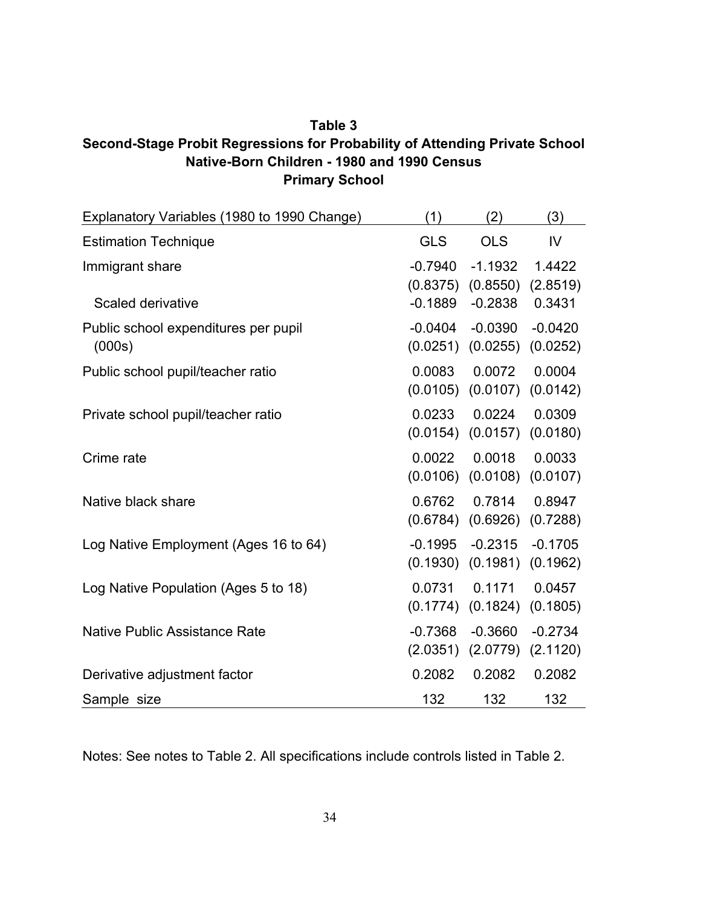## **Table 3 Second-Stage Probit Regressions for Probability of Attending Private School Native-Born Children - 1980 and 1990 Census Primary School**

| Explanatory Variables (1980 to 1990 Change) | (1)        | (2)        | (3)       |
|---------------------------------------------|------------|------------|-----------|
| <b>Estimation Technique</b>                 | <b>GLS</b> | <b>OLS</b> | IV        |
| Immigrant share                             | $-0.7940$  | $-1.1932$  | 1.4422    |
|                                             | (0.8375)   | (0.8550)   | (2.8519)  |
| Scaled derivative                           | $-0.1889$  | $-0.2838$  | 0.3431    |
| Public school expenditures per pupil        | $-0.0404$  | $-0.0390$  | $-0.0420$ |
| (000s)                                      | (0.0251)   | (0.0255)   | (0.0252)  |
| Public school pupil/teacher ratio           | 0.0083     | 0.0072     | 0.0004    |
|                                             | (0.0105)   | (0.0107)   | (0.0142)  |
| Private school pupil/teacher ratio          | 0.0233     | 0.0224     | 0.0309    |
|                                             | (0.0154)   | (0.0157)   | (0.0180)  |
| Crime rate                                  | 0.0022     | 0.0018     | 0.0033    |
|                                             | (0.0106)   | (0.0108)   | (0.0107)  |
| Native black share                          | 0.6762     | 0.7814     | 0.8947    |
|                                             | (0.6784)   | (0.6926)   | (0.7288)  |
| Log Native Employment (Ages 16 to 64)       | $-0.1995$  | $-0.2315$  | $-0.1705$ |
|                                             | (0.1930)   | (0.1981)   | (0.1962)  |
| Log Native Population (Ages 5 to 18)        | 0.0731     | 0.1171     | 0.0457    |
|                                             | (0.1774)   | (0.1824)   | (0.1805)  |
| <b>Native Public Assistance Rate</b>        | $-0.7368$  | $-0.3660$  | $-0.2734$ |
|                                             | (2.0351)   | (2.0779)   | (2.1120)  |
| Derivative adjustment factor                | 0.2082     | 0.2082     | 0.2082    |
| Sample size                                 | 132        | 132        | 132       |

Notes: See notes to Table 2. All specifications include controls listed in Table 2.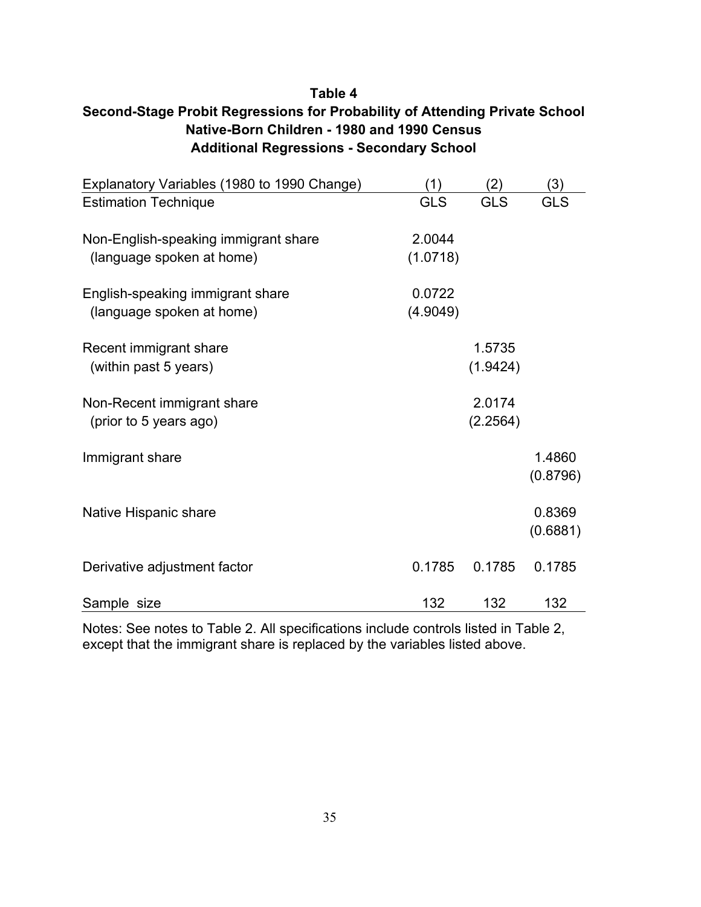## **Table 4 Second-Stage Probit Regressions for Probability of Attending Private School Native-Born Children - 1980 and 1990 Census Additional Regressions - Secondary School**

| Explanatory Variables (1980 to 1990 Change) | (1)        | (2)        | (3)        |
|---------------------------------------------|------------|------------|------------|
| <b>Estimation Technique</b>                 | <b>GLS</b> | <b>GLS</b> | <b>GLS</b> |
|                                             |            |            |            |
| Non-English-speaking immigrant share        | 2.0044     |            |            |
| (language spoken at home)                   | (1.0718)   |            |            |
| English-speaking immigrant share            | 0.0722     |            |            |
| (language spoken at home)                   | (4.9049)   |            |            |
|                                             |            |            |            |
| Recent immigrant share                      |            | 1.5735     |            |
| (within past 5 years)                       |            | (1.9424)   |            |
|                                             |            |            |            |
| Non-Recent immigrant share                  |            | 2.0174     |            |
| (prior to 5 years ago)                      |            | (2.2564)   |            |
|                                             |            |            |            |
| Immigrant share                             |            |            | 1.4860     |
|                                             |            |            | (0.8796)   |
|                                             |            |            |            |
| Native Hispanic share                       |            |            | 0.8369     |
|                                             |            |            | (0.6881)   |
|                                             |            |            |            |
| Derivative adjustment factor                | 0.1785     | 0.1785     | 0.1785     |
|                                             |            |            |            |
| Sample size                                 | 132        | 132        | 132        |

Notes: See notes to Table 2. All specifications include controls listed in Table 2, except that the immigrant share is replaced by the variables listed above.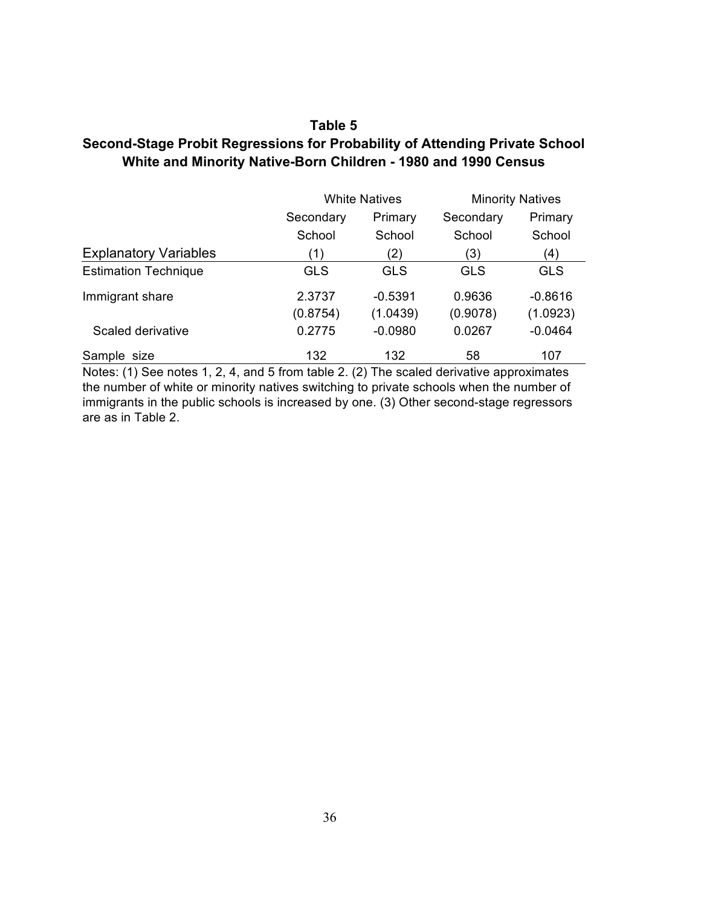## **Table 5 Second-Stage Probit Regressions for Probability of Attending Private School White and Minority Native-Born Children - 1980 and 1990 Census**

|                              | <b>White Natives</b> |            | <b>Minority Natives</b> |            |
|------------------------------|----------------------|------------|-------------------------|------------|
|                              | Secondary            | Primary    | Secondary               | Primary    |
|                              | School               | School     | School                  | School     |
| <b>Explanatory Variables</b> | (1)                  | (2)        | (3)                     | (4)        |
| <b>Estimation Technique</b>  | <b>GLS</b>           | <b>GLS</b> | <b>GLS</b>              | <b>GLS</b> |
| Immigrant share              | 2.3737               | $-0.5391$  | 0.9636                  | $-0.8616$  |
|                              | (0.8754)             | (1.0439)   | (0.9078)                | (1.0923)   |
| Scaled derivative            | 0.2775               | $-0.0980$  | 0.0267                  | $-0.0464$  |
| Sample size                  | 132                  | 132        | 58                      | 107        |

Notes: (1) See notes 1, 2, 4, and 5 from table 2. (2) The scaled derivative approximates the number of white or minority natives switching to private schools when the number of immigrants in the public schools is increased by one. (3) Other second-stage regressors are as in Table 2.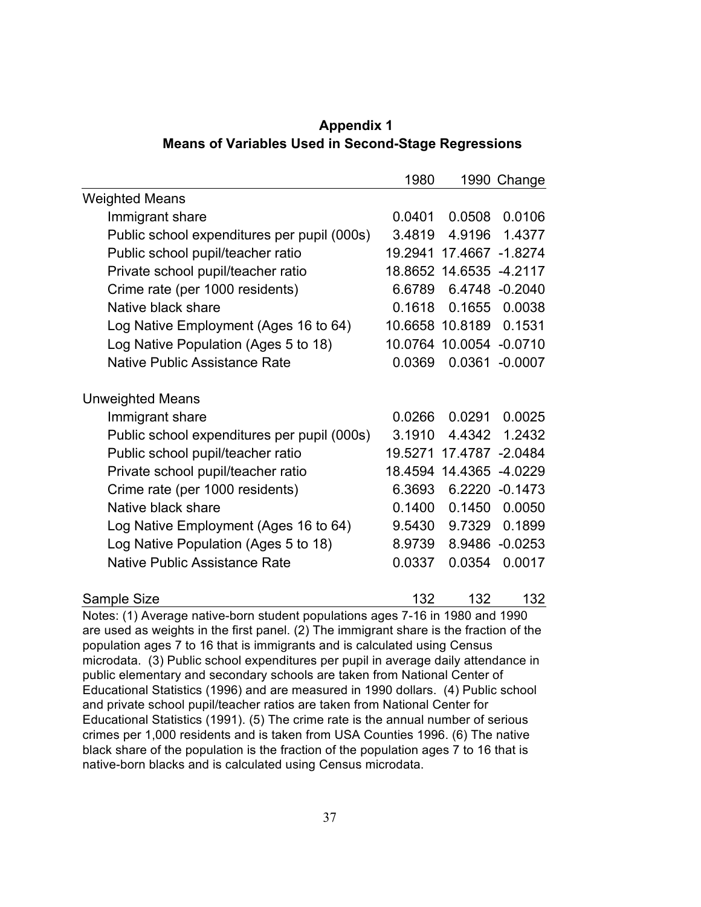|                                                                                | 1980                      |                 | 1990 Change    |
|--------------------------------------------------------------------------------|---------------------------|-----------------|----------------|
| <b>Weighted Means</b>                                                          |                           |                 |                |
| Immigrant share                                                                | 0.0401                    | 0.0508          | 0.0106         |
| Public school expenditures per pupil (000s)                                    | 3.4819                    | 4.9196          | 1.4377         |
| Public school pupil/teacher ratio                                              | 19.2941                   | 17.4667 -1.8274 |                |
| Private school pupil/teacher ratio                                             |                           | 18.8652 14.6535 | $-4.2117$      |
| Crime rate (per 1000 residents)                                                | 6.6789                    |                 | 6.4748 -0.2040 |
| Native black share                                                             | 0.1618                    | 0.1655          | 0.0038         |
| Log Native Employment (Ages 16 to 64)                                          |                           | 10.6658 10.8189 | 0.1531         |
| Log Native Population (Ages 5 to 18)                                           |                           | 10.0764 10.0054 | $-0.0710$      |
| <b>Native Public Assistance Rate</b>                                           | 0.0369                    | 0.0361          | $-0.0007$      |
| <b>Unweighted Means</b>                                                        |                           |                 |                |
| Immigrant share                                                                | 0.0266                    | 0.0291          | 0.0025         |
| Public school expenditures per pupil (000s)                                    | 3.1910                    | 4.4342          | 1.2432         |
| Public school pupil/teacher ratio                                              | 19.5271                   | 17.4787 -2.0484 |                |
| Private school pupil/teacher ratio                                             |                           | 18.4594 14.4365 | $-4.0229$      |
| Crime rate (per 1000 residents)                                                | 6.3693                    |                 | 6.2220 -0.1473 |
| Native black share                                                             | 0.1400                    | 0.1450          | 0.0050         |
| Log Native Employment (Ages 16 to 64)                                          | 9.5430                    | 9.7329          | 0.1899         |
| Log Native Population (Ages 5 to 18)                                           | 8.9739                    | 8.9486          | $-0.0253$      |
| <b>Native Public Assistance Rate</b>                                           | 0.0337                    | 0.0354          | 0.0017         |
| Sample Size<br>different the distance of the different conditions of different | 132<br>$7.40 \div 1000 -$ | 132             | 132            |

 **Appendix 1 Means of Variables Used in Second-Stage Regressions**

Notes: (1) Average native-born student populations ages 7-16 in 1980 and 1990 are used as weights in the first panel. (2) The immigrant share is the fraction of the population ages 7 to 16 that is immigrants and is calculated using Census microdata. (3) Public school expenditures per pupil in average daily attendance in public elementary and secondary schools are taken from National Center of Educational Statistics (1996) and are measured in 1990 dollars. (4) Public school and private school pupil/teacher ratios are taken from National Center for Educational Statistics (1991). (5) The crime rate is the annual number of serious crimes per 1,000 residents and is taken from USA Counties 1996. (6) The native black share of the population is the fraction of the population ages 7 to 16 that is native-born blacks and is calculated using Census microdata.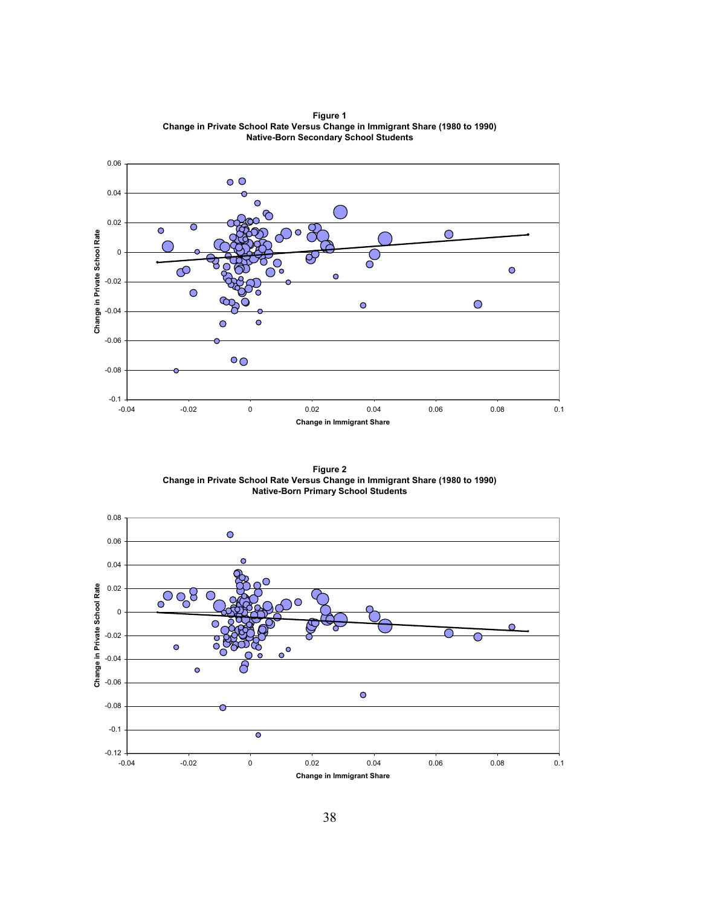

**Figure 1 Change in Private School Rate Versus Change in Immigrant Share (1980 to 1990) Native-Born Secondary School Students**

**Figure 2 Change in Private School Rate Versus Change in Immigrant Share (1980 to 1990) Native-Born Primary School Students**

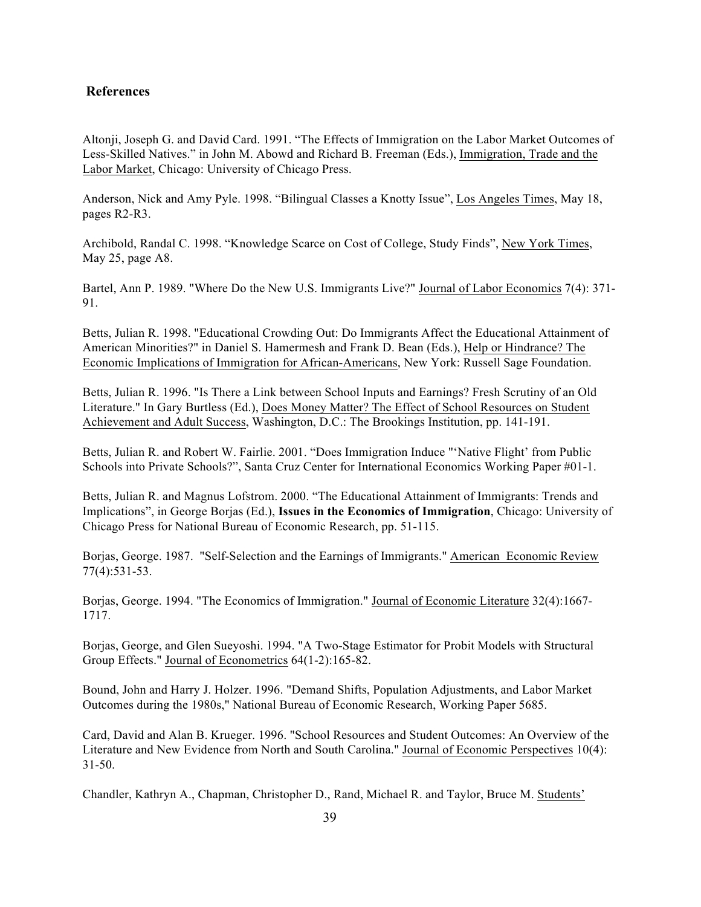### **References**

Altonji, Joseph G. and David Card. 1991. "The Effects of Immigration on the Labor Market Outcomes of Less-Skilled Natives." in John M. Abowd and Richard B. Freeman (Eds.), Immigration, Trade and the Labor Market, Chicago: University of Chicago Press.

Anderson, Nick and Amy Pyle. 1998. "Bilingual Classes a Knotty Issue", Los Angeles Times, May 18, pages R2-R3.

Archibold, Randal C. 1998. "Knowledge Scarce on Cost of College, Study Finds", New York Times, May 25, page A8.

Bartel, Ann P. 1989. "Where Do the New U.S. Immigrants Live?" Journal of Labor Economics 7(4): 371- 91.

Betts, Julian R. 1998. "Educational Crowding Out: Do Immigrants Affect the Educational Attainment of American Minorities?" in Daniel S. Hamermesh and Frank D. Bean (Eds.), Help or Hindrance? The Economic Implications of Immigration for African-Americans, New York: Russell Sage Foundation.

Betts, Julian R. 1996. "Is There a Link between School Inputs and Earnings? Fresh Scrutiny of an Old Literature." In Gary Burtless (Ed.), Does Money Matter? The Effect of School Resources on Student Achievement and Adult Success, Washington, D.C.: The Brookings Institution, pp. 141-191.

Betts, Julian R. and Robert W. Fairlie. 2001. "Does Immigration Induce "'Native Flight' from Public Schools into Private Schools?", Santa Cruz Center for International Economics Working Paper #01-1.

Betts, Julian R. and Magnus Lofstrom. 2000. "The Educational Attainment of Immigrants: Trends and Implications", in George Borjas (Ed.), **Issues in the Economics of Immigration**, Chicago: University of Chicago Press for National Bureau of Economic Research, pp. 51-115.

Borjas, George. 1987. "Self-Selection and the Earnings of Immigrants." American Economic Review 77(4):531-53.

Borjas, George. 1994. "The Economics of Immigration." Journal of Economic Literature 32(4):1667- 1717.

Borjas, George, and Glen Sueyoshi. 1994. "A Two-Stage Estimator for Probit Models with Structural Group Effects." Journal of Econometrics 64(1-2):165-82.

Bound, John and Harry J. Holzer. 1996. "Demand Shifts, Population Adjustments, and Labor Market Outcomes during the 1980s," National Bureau of Economic Research, Working Paper 5685.

Card, David and Alan B. Krueger. 1996. "School Resources and Student Outcomes: An Overview of the Literature and New Evidence from North and South Carolina." Journal of Economic Perspectives 10(4): 31-50.

Chandler, Kathryn A., Chapman, Christopher D., Rand, Michael R. and Taylor, Bruce M. Students'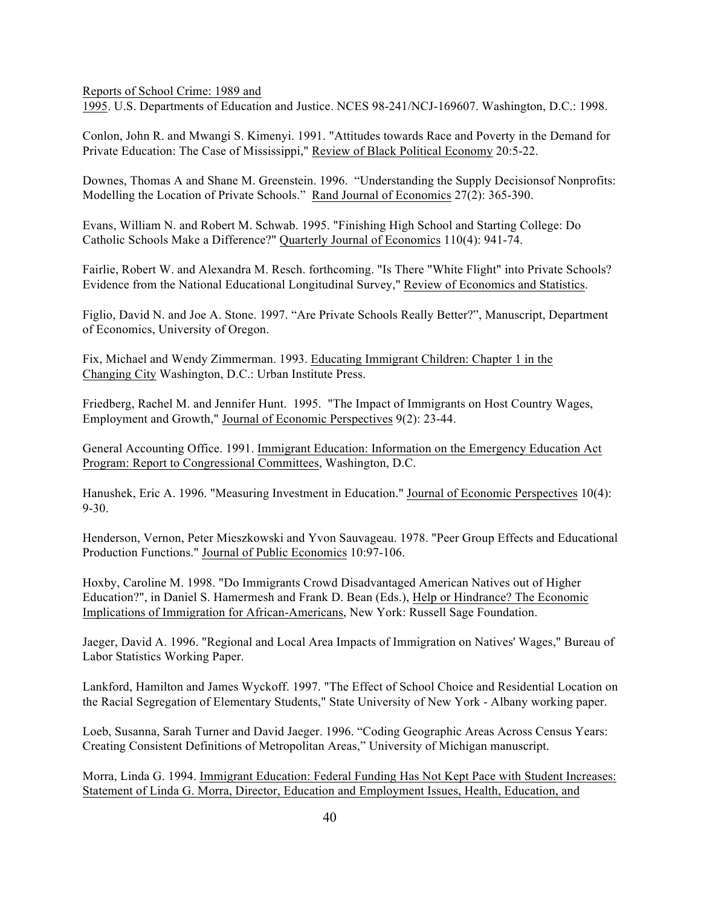Reports of School Crime: 1989 and

1995. U.S. Departments of Education and Justice. NCES 98-241/NCJ-169607. Washington, D.C.: 1998.

Conlon, John R. and Mwangi S. Kimenyi. 1991. "Attitudes towards Race and Poverty in the Demand for Private Education: The Case of Mississippi," Review of Black Political Economy 20:5-22.

Downes, Thomas A and Shane M. Greenstein. 1996. "Understanding the Supply Decisionsof Nonprofits: Modelling the Location of Private Schools." Rand Journal of Economics 27(2): 365-390.

Evans, William N. and Robert M. Schwab. 1995. "Finishing High School and Starting College: Do Catholic Schools Make a Difference?" Quarterly Journal of Economics 110(4): 941-74.

Fairlie, Robert W. and Alexandra M. Resch. forthcoming. "Is There "White Flight" into Private Schools? Evidence from the National Educational Longitudinal Survey," Review of Economics and Statistics.

Figlio, David N. and Joe A. Stone. 1997. "Are Private Schools Really Better?", Manuscript, Department of Economics, University of Oregon.

Fix, Michael and Wendy Zimmerman. 1993. Educating Immigrant Children: Chapter 1 in the Changing City Washington, D.C.: Urban Institute Press.

Friedberg, Rachel M. and Jennifer Hunt. 1995. "The Impact of Immigrants on Host Country Wages, Employment and Growth," Journal of Economic Perspectives 9(2): 23-44.

General Accounting Office. 1991. Immigrant Education: Information on the Emergency Education Act Program: Report to Congressional Committees, Washington, D.C.

Hanushek, Eric A. 1996. "Measuring Investment in Education." Journal of Economic Perspectives 10(4):  $9 - 30$ .

Henderson, Vernon, Peter Mieszkowski and Yvon Sauvageau. 1978. "Peer Group Effects and Educational Production Functions." Journal of Public Economics 10:97-106.

Hoxby, Caroline M. 1998. "Do Immigrants Crowd Disadvantaged American Natives out of Higher Education?", in Daniel S. Hamermesh and Frank D. Bean (Eds.), Help or Hindrance? The Economic Implications of Immigration for African-Americans, New York: Russell Sage Foundation.

Jaeger, David A. 1996. "Regional and Local Area Impacts of Immigration on Natives' Wages," Bureau of Labor Statistics Working Paper.

Lankford, Hamilton and James Wyckoff. 1997. "The Effect of School Choice and Residential Location on the Racial Segregation of Elementary Students," State University of New York - Albany working paper.

Loeb, Susanna, Sarah Turner and David Jaeger. 1996. "Coding Geographic Areas Across Census Years: Creating Consistent Definitions of Metropolitan Areas," University of Michigan manuscript.

Morra, Linda G. 1994. Immigrant Education: Federal Funding Has Not Kept Pace with Student Increases: Statement of Linda G. Morra, Director, Education and Employment Issues, Health, Education, and